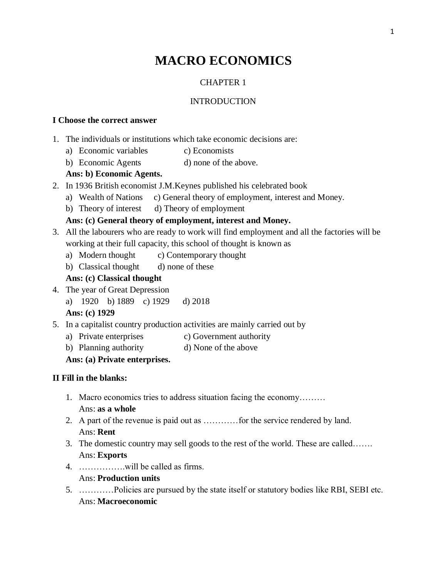# **MACRO ECONOMICS**

### CHAPTER 1

### INTRODUCTION

#### **I Choose the correct answer**

- 1. The individuals or institutions which take economic decisions are:
	- a) Economic variables c) Economists
	- b) Economic Agents d) none of the above.

### **Ans: b) Economic Agents.**

- 2. In 1936 British economist J.M.Keynes published his celebrated book
	- a) Wealth of Nations c) General theory of employment, interest and Money.
	- b) Theory of interest d) Theory of employment

### **Ans: (c) General theory of employment, interest and Money.**

- 3. All the labourers who are ready to work will find employment and all the factories will be working at their full capacity, this school of thought is known as
	- a) Modern thought c) Contemporary thought
	- b) Classical thought d) none of these

### **Ans: (c) Classical thought**

- 4. The year of Great Depression
	- a) 1920 b) 1889 c) 1929 d) 2018

**Ans: (c) 1929**

- 5. In a capitalist country production activities are mainly carried out by
	- a) Private enterprises c) Government authority
	- b) Planning authority d) None of the above

### **Ans: (a) Private enterprises.**

#### **II Fill in the blanks:**

- 1. Macro economics tries to address situation facing the economy……… Ans: **as a whole**
- 2. A part of the revenue is paid out as …………for the service rendered by land. Ans: **Rent**
- 3. The domestic country may sell goods to the rest of the world. These are called……. Ans: **Exports**
- 4. …………….will be called as firms.

### Ans: **Production units**

5. …………Policies are pursued by the state itself or statutory bodies like RBI, SEBI etc. Ans: **Macroeconomic**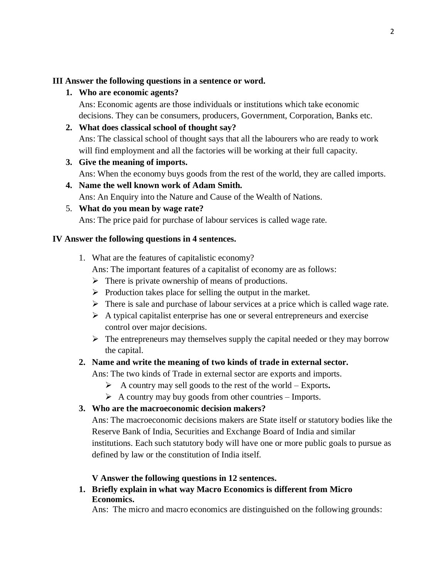### **III Answer the following questions in a sentence or word.**

### **1. Who are economic agents?**

Ans: Economic agents are those individuals or institutions which take economic decisions. They can be consumers, producers, Government, Corporation, Banks etc.

# **2. What does classical school of thought say?**

Ans: The classical school of thought says that all the labourers who are ready to work will find employment and all the factories will be working at their full capacity.

### **3. Give the meaning of imports.**

Ans: When the economy buys goods from the rest of the world, they are called imports.

# **4. Name the well known work of Adam Smith.**

Ans: An Enquiry into the Nature and Cause of the Wealth of Nations.

# 5. **What do you mean by wage rate?**

Ans: The price paid for purchase of labour services is called wage rate.

### **IV Answer the following questions in 4 sentences.**

- 1. What are the features of capitalistic economy? Ans: The important features of a capitalist of economy are as follows:
	- $\triangleright$  There is private ownership of means of productions.
	- $\triangleright$  Production takes place for selling the output in the market.
	- $\triangleright$  There is sale and purchase of labour services at a price which is called wage rate.
	- $\triangleright$  A typical capitalist enterprise has one or several entrepreneurs and exercise control over major decisions.
	- $\triangleright$  The entrepreneurs may themselves supply the capital needed or they may borrow the capital.

### **2. Name and write the meaning of two kinds of trade in external sector.**

Ans: The two kinds of Trade in external sector are exports and imports.

- ➢ A country may sell goods to the rest of the world Exports**.**
- $\triangleright$  A country may buy goods from other countries Imports.

### **3. Who are the macroeconomic decision makers?**

Ans: The macroeconomic decisions makers are State itself or statutory bodies like the Reserve Bank of India, Securities and Exchange Board of India and similar institutions. Each such statutory body will have one or more public goals to pursue as defined by law or the constitution of India itself.

### **V Answer the following questions in 12 sentences.**

**1. Briefly explain in what way Macro Economics is different from Micro Economics.**

Ans: The micro and macro economics are distinguished on the following grounds: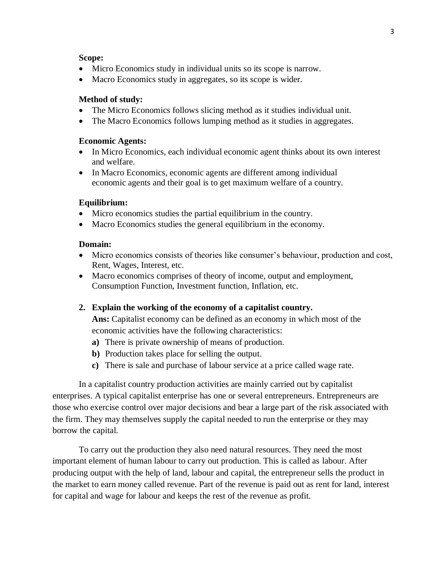#### **Scope:**

- Micro Economics study in individual units so its scope is narrow.
- Macro Economics study in aggregates, so its scope is wider.

#### **Method of study:**

- The Micro Economics follows slicing method as it studies individual unit.
- The Macro Economics follows lumping method as it studies in aggregates.

#### **Economic Agents:**

- In Micro Economics, each individual economic agent thinks about its own interest and welfare.
- In Macro Economics, economic agents are different among individual economic agents and their goal is to get maximum welfare of a country.

#### **Equilibrium:**

- Micro economics studies the partial equilibrium in the country.
- Macro Economics studies the general equilibrium in the economy.

#### **Domain:**

- Micro economics consists of theories like consumer's behaviour, production and cost, Rent, Wages, Interest, etc.
- Macro economics comprises of theory of income, output and employment, Consumption Function, Investment function, Inflation, etc.

#### **2. Explain the working of the economy of a capitalist country.**

**Ans:** Capitalist economy can be defined as an economy in which most of the economic activities have the following characteristics:

- **a)** There is private ownership of means of production.
- **b)** Production takes place for selling the output.
- **c)** There is sale and purchase of labour service at a price called wage rate.

In a capitalist country production activities are mainly carried out by capitalist enterprises. A typical capitalist enterprise has one or several entrepreneurs. Entrepreneurs are those who exercise control over major decisions and bear a large part of the risk associated with the firm. They may themselves supply the capital needed to run the enterprise or they may borrow the capital.

To carry out the production they also need natural resources. They need the most important element of human labour to carry out production. This is called as labour. After producing output with the help of land, labour and capital, the entrepreneur sells the product in the market to earn money called revenue. Part of the revenue is paid out as rent for land, interest for capital and wage for labour and keeps the rest of the revenue as profit.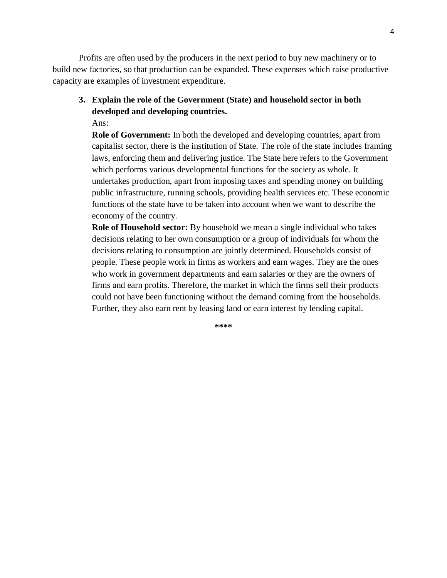Profits are often used by the producers in the next period to buy new machinery or to build new factories, so that production can be expanded. These expenses which raise productive capacity are examples of investment expenditure.

**3. Explain the role of the Government (State) and household sector in both developed and developing countries.**

Ans:

**Role of Government:** In both the developed and developing countries, apart from capitalist sector, there is the institution of State. The role of the state includes framing laws, enforcing them and delivering justice. The State here refers to the Government which performs various developmental functions for the society as whole. It undertakes production, apart from imposing taxes and spending money on building public infrastructure, running schools, providing health services etc. These economic functions of the state have to be taken into account when we want to describe the economy of the country.

**Role of Household sector:** By household we mean a single individual who takes decisions relating to her own consumption or a group of individuals for whom the decisions relating to consumption are jointly determined. Households consist of people. These people work in firms as workers and earn wages. They are the ones who work in government departments and earn salaries or they are the owners of firms and earn profits. Therefore, the market in which the firms sell their products could not have been functioning without the demand coming from the households. Further, they also earn rent by leasing land or earn interest by lending capital.

**\*\*\*\***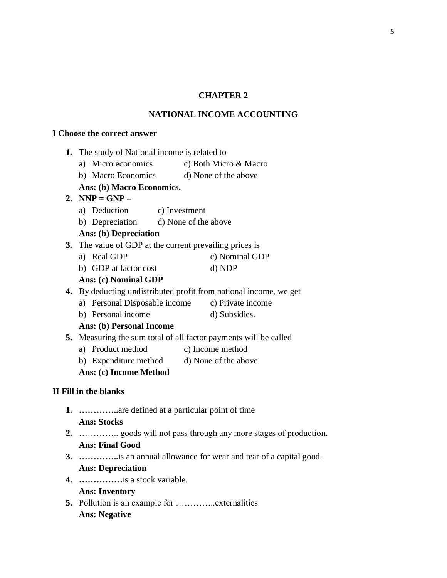# **CHAPTER 2**

# **NATIONAL INCOME ACCOUNTING**

#### **I Choose the correct answer**

|    | 1. The study of National income is related to |                                                                   |  |
|----|-----------------------------------------------|-------------------------------------------------------------------|--|
|    |                                               | a) Micro economics c) Both Micro & Macro                          |  |
|    |                                               | b) Macro Economics d) None of the above                           |  |
|    | Ans: (b) Macro Economics.                     |                                                                   |  |
|    | 2. NNP = $GNP -$                              |                                                                   |  |
|    | a) Deduction c) Investment                    |                                                                   |  |
|    | b) Depreciation d) None of the above          |                                                                   |  |
|    | Ans: (b) Depreciation                         |                                                                   |  |
|    |                                               | 3. The value of GDP at the current prevailing prices is           |  |
|    | a) Real GDP                                   | c) Nominal GDP                                                    |  |
|    | b) GDP at factor cost                         | d) NDP                                                            |  |
|    | <b>Ans: (c) Nominal GDP</b>                   |                                                                   |  |
|    |                                               | 4. By deducting undistributed profit from national income, we get |  |
|    |                                               | a) Personal Disposable income c) Private income                   |  |
|    | b) Personal income                            | d) Subsidies.                                                     |  |
|    | Ans: (b) Personal Income                      |                                                                   |  |
|    |                                               | 5. Measuring the sum total of all factor payments will be called  |  |
|    | a) Product method                             | c) Income method                                                  |  |
|    |                                               | b) Expenditure method d) None of the above                        |  |
|    | Ans: (c) Income Method                        |                                                                   |  |
|    | II Fill in the blanks                         |                                                                   |  |
|    |                                               | <b>1.</b> are defined at a particular point of time               |  |
|    | <b>Ans: Stocks</b>                            |                                                                   |  |
|    |                                               |                                                                   |  |
|    | <b>Ans: Final Good</b>                        |                                                                   |  |
| 3. |                                               | is an annual allowance for wear and tear of a capital good.       |  |
|    | <b>Ans: Depreciation</b>                      |                                                                   |  |
|    |                                               |                                                                   |  |

**4. ……………**is a stock variable.

# **Ans: Inventory**

**5.** Pollution is an example for …………..externalities **Ans: Negative**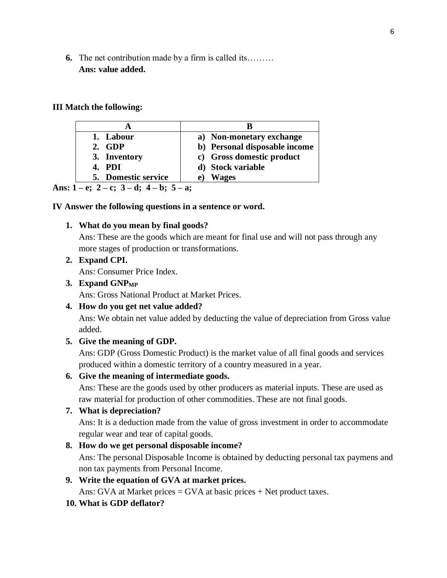**6.** The net contribution made by a firm is called its……… **Ans: value added.**

#### **III Match the following:**

| 1. Labour                            | a) Non-monetary exchange      |
|--------------------------------------|-------------------------------|
| 2. GDP                               | b) Personal disposable income |
| 3. Inventory                         | c) Gross domestic product     |
| 4. PDI                               | d) Stock variable             |
| 5. Domestic service                  | <b>Wages</b><br>e l           |
| $\sim$ $\sim$<br>$\bullet$ $\bullet$ |                               |

**Ans: 1 – e; 2 – c; 3 – d; 4 – b; 5 – a;**

#### **IV Answer the following questions in a sentence or word.**

#### **1. What do you mean by final goods?**

Ans: These are the goods which are meant for final use and will not pass through any more stages of production or transformations.

#### **2. Expand CPI.**

Ans: Consumer Price Index.

#### **3. Expand GNPMP**

Ans: Gross National Product at Market Prices.

#### **4. How do you get net value added?**

Ans: We obtain net value added by deducting the value of depreciation from Gross value added.

#### **5. Give the meaning of GDP.**

Ans: GDP (Gross Domestic Product) is the market value of all final goods and services produced within a domestic territory of a country measured in a year.

#### **6. Give the meaning of intermediate goods.**

Ans: These are the goods used by other producers as material inputs. These are used as raw material for production of other commodities. These are not final goods.

#### **7. What is depreciation?**

Ans: It is a deduction made from the value of gross investment in order to accommodate regular wear and tear of capital goods.

#### **8. How do we get personal disposable income?**

Ans: The personal Disposable Income is obtained by deducting personal tax paymens and non tax payments from Personal Income.

### **9. Write the equation of GVA at market prices.**

Ans: GVA at Market prices  $=$  GVA at basic prices  $+$  Net product taxes.

#### **10. What is GDP deflator?**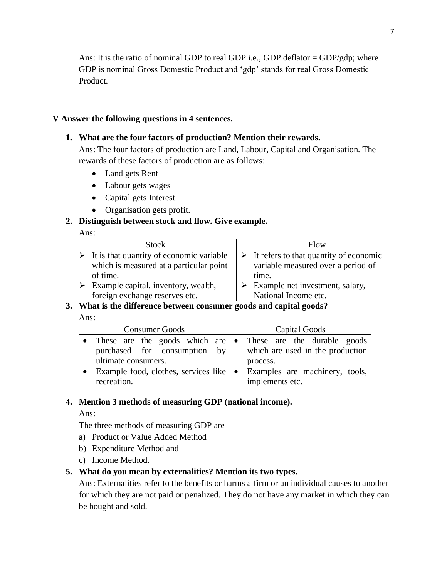Ans: It is the ratio of nominal GDP to real GDP i.e., GDP deflator =  $GDP/gdp$ ; where GDP is nominal Gross Domestic Product and 'gdp' stands for real Gross Domestic Product.

#### **V Answer the following questions in 4 sentences.**

#### **1. What are the four factors of production? Mention their rewards.**

Ans: The four factors of production are Land, Labour, Capital and Organisation. The rewards of these factors of production are as follows:

- Land gets Rent
- Labour gets wages
- Capital gets Interest.
- Organisation gets profit.

#### **2. Distinguish between stock and flow. Give example.**

#### Ans:

|   | <b>Stock</b>                                              | Flow                                                    |
|---|-----------------------------------------------------------|---------------------------------------------------------|
|   | $\triangleright$ It is that quantity of economic variable | $\triangleright$ It refers to that quantity of economic |
|   | which is measured at a particular point                   | variable measured over a period of                      |
|   | of time.                                                  | time.                                                   |
| ➤ | Example capital, inventory, wealth,                       | $\triangleright$ Example net investment, salary,        |
|   | foreign exchange reserves etc.                            | National Income etc.                                    |

#### **3. What is the difference between consumer goods and capital goods?**

#### Ans:

| <b>Consumer Goods</b>                                                                                                                                                                            | Capital Goods                                                                                     |
|--------------------------------------------------------------------------------------------------------------------------------------------------------------------------------------------------|---------------------------------------------------------------------------------------------------|
| • These are the goods which are $\bullet$<br>purchased for consumption by<br>ultimate consumers.<br>process.<br>Example food, clothes, services like $\bullet$<br>implements etc.<br>recreation. | These are the durable goods<br>which are used in the production<br>Examples are machinery, tools, |

# **4. Mention 3 methods of measuring GDP (national income).**

#### Ans:

The three methods of measuring GDP are

- a) Product or Value Added Method
- b) Expenditure Method and
- c) Income Method.

#### **5. What do you mean by externalities? Mention its two types.**

Ans: Externalities refer to the benefits or harms a firm or an individual causes to another for which they are not paid or penalized. They do not have any market in which they can be bought and sold.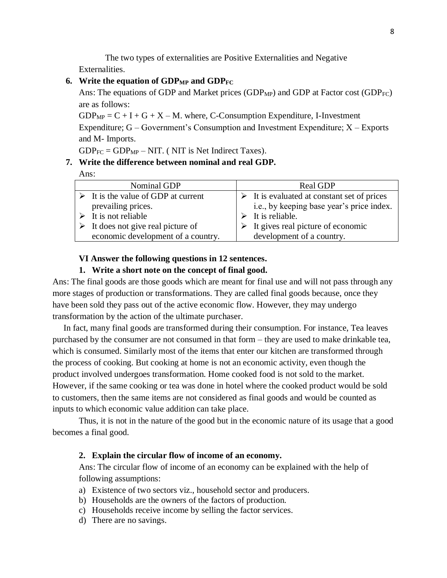The two types of externalities are Positive Externalities and Negative Externalities.

#### **6. Write the equation of GDPMP and GDPFC**

Ans: The equations of GDP and Market prices (GDP<sub>MP</sub>) and GDP at Factor cost (GDP<sub>FC</sub>) are as follows:

 $GDP<sub>MP</sub> = C + I + G + X - M$ . where, C-Consumption Expenditure, I-Investment Expenditure;  $G - Government's Consumption$  and Investment Expenditure;  $X - Exports$ and M- Imports.

 $GDP_{FC} = GDP_{MP} - NIT$ . (NIT is Net Indirect Taxes).

#### **7. Write the difference between nominal and real GDP.**

Ans:

| Nominal GDP                                        | Real GDP                                                   |
|----------------------------------------------------|------------------------------------------------------------|
| $\triangleright$ It is the value of GDP at current | $\triangleright$ It is evaluated at constant set of prices |
| prevailing prices.                                 | i.e., by keeping base year's price index.                  |
| $\triangleright$ It is not reliable                | $\triangleright$ It is reliable.                           |
| $\triangleright$ It does not give real picture of  | $\triangleright$ It gives real picture of economic         |
| economic development of a country.                 | development of a country.                                  |
|                                                    |                                                            |

#### **VI Answer the following questions in 12 sentences.**

#### **1. Write a short note on the concept of final good.**

Ans: The final goods are those goods which are meant for final use and will not pass through any more stages of production or transformations. They are called final goods because, once they have been sold they pass out of the active economic flow. However, they may undergo transformation by the action of the ultimate purchaser.

 In fact, many final goods are transformed during their consumption. For instance, Tea leaves purchased by the consumer are not consumed in that form – they are used to make drinkable tea, which is consumed. Similarly most of the items that enter our kitchen are transformed through the process of cooking. But cooking at home is not an economic activity, even though the product involved undergoes transformation. Home cooked food is not sold to the market. However, if the same cooking or tea was done in hotel where the cooked product would be sold to customers, then the same items are not considered as final goods and would be counted as inputs to which economic value addition can take place.

Thus, it is not in the nature of the good but in the economic nature of its usage that a good becomes a final good.

#### **2. Explain the circular flow of income of an economy.**

Ans: The circular flow of income of an economy can be explained with the help of following assumptions:

- a) Existence of two sectors viz., household sector and producers.
- b) Households are the owners of the factors of production.
- c) Households receive income by selling the factor services.
- d) There are no savings.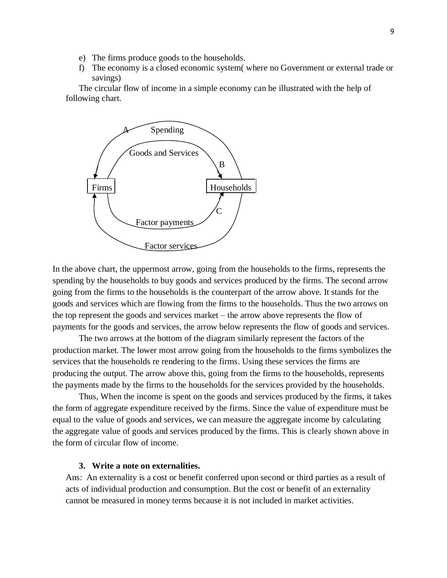- e) The firms produce goods to the households.
- f) The economy is a closed economic system( where no Government or external trade or savings)

The circular flow of income in a simple economy can be illustrated with the help of following chart.



In the above chart, the uppermost arrow, going from the households to the firms, represents the spending by the households to buy goods and services produced by the firms. The second arrow going from the firms to the households is the counterpart of the arrow above. It stands for the goods and services which are flowing from the firms to the households. Thus the two arrows on the top represent the goods and services market – the arrow above represents the flow of payments for the goods and services, the arrow below represents the flow of goods and services.

The two arrows at the bottom of the diagram similarly represent the factors of the production market. The lower most arrow going from the households to the firms symbolizes the services that the households re rendering to the firms. Using these services the firms are producing the output. The arrow above this, going from the firms to the households, represents the payments made by the firms to the households for the services provided by the households.

Thus, When the income is spent on the goods and services produced by the firms, it takes the form of aggregate expenditure received by the firms. Since the value of expenditure must be equal to the value of goods and services, we can measure the aggregate income by calculating the aggregate value of goods and services produced by the firms. This is clearly shown above in the form of circular flow of income.

#### **3. Write a note on externalities.**

Ans: An externality is a cost or benefit conferred upon second or third parties as a result of acts of individual production and consumption. But the cost or benefit of an externality cannot be measured in money terms because it is not included in market activities.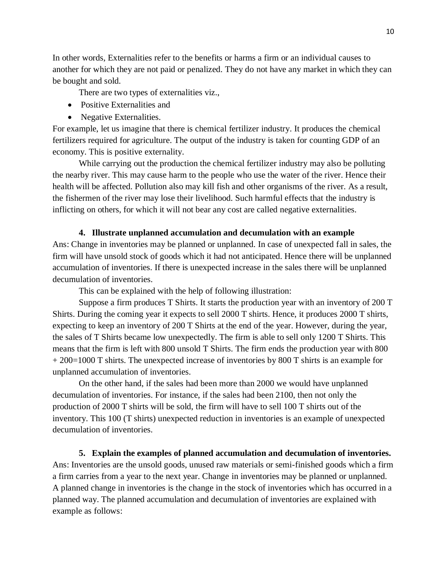In other words, Externalities refer to the benefits or harms a firm or an individual causes to another for which they are not paid or penalized. They do not have any market in which they can be bought and sold.

There are two types of externalities viz.,

- Positive Externalities and
- Negative Externalities.

For example, let us imagine that there is chemical fertilizer industry. It produces the chemical fertilizers required for agriculture. The output of the industry is taken for counting GDP of an economy. This is positive externality.

While carrying out the production the chemical fertilizer industry may also be polluting the nearby river. This may cause harm to the people who use the water of the river. Hence their health will be affected. Pollution also may kill fish and other organisms of the river. As a result, the fishermen of the river may lose their livelihood. Such harmful effects that the industry is inflicting on others, for which it will not bear any cost are called negative externalities.

#### **4. Illustrate unplanned accumulation and decumulation with an example**

Ans: Change in inventories may be planned or unplanned. In case of unexpected fall in sales, the firm will have unsold stock of goods which it had not anticipated. Hence there will be unplanned accumulation of inventories. If there is unexpected increase in the sales there will be unplanned decumulation of inventories.

This can be explained with the help of following illustration:

Suppose a firm produces T Shirts. It starts the production year with an inventory of 200 T Shirts. During the coming year it expects to sell 2000 T shirts. Hence, it produces 2000 T shirts, expecting to keep an inventory of 200 T Shirts at the end of the year. However, during the year, the sales of T Shirts became low unexpectedly. The firm is able to sell only 1200 T Shirts. This means that the firm is left with 800 unsold T Shirts. The firm ends the production year with 800 + 200=1000 T shirts. The unexpected increase of inventories by 800 T shirts is an example for unplanned accumulation of inventories.

On the other hand, if the sales had been more than 2000 we would have unplanned decumulation of inventories. For instance, if the sales had been 2100, then not only the production of 2000 T shirts will be sold, the firm will have to sell 100 T shirts out of the inventory. This 100 (T shirts) unexpected reduction in inventories is an example of unexpected decumulation of inventories.

**5. Explain the examples of planned accumulation and decumulation of inventories.** Ans: Inventories are the unsold goods, unused raw materials or semi-finished goods which a firm a firm carries from a year to the next year. Change in inventories may be planned or unplanned. A planned change in inventories is the change in the stock of inventories which has occurred in a planned way. The planned accumulation and decumulation of inventories are explained with example as follows: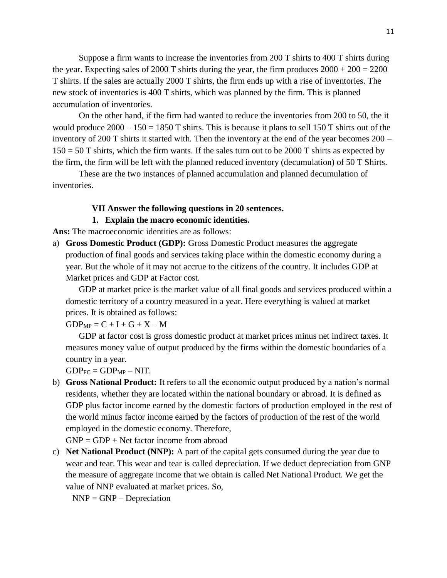Suppose a firm wants to increase the inventories from 200 T shirts to 400 T shirts during the year. Expecting sales of 2000 T shirts during the year, the firm produces  $2000 + 200 = 2200$ T shirts. If the sales are actually 2000 T shirts, the firm ends up with a rise of inventories. The new stock of inventories is 400 T shirts, which was planned by the firm. This is planned accumulation of inventories.

On the other hand, if the firm had wanted to reduce the inventories from 200 to 50, the it would produce  $2000 - 150 = 1850$  T shirts. This is because it plans to sell 150 T shirts out of the inventory of 200 T shirts it started with. Then the inventory at the end of the year becomes 200 –  $150 = 50$  T shirts, which the firm wants. If the sales turn out to be 2000 T shirts as expected by the firm, the firm will be left with the planned reduced inventory (decumulation) of 50 T Shirts.

These are the two instances of planned accumulation and planned decumulation of inventories.

#### **VII Answer the following questions in 20 sentences.**

#### **1. Explain the macro economic identities.**

**Ans:** The macroeconomic identities are as follows:

a) **Gross Domestic Product (GDP):** Gross Domestic Product measures the aggregate production of final goods and services taking place within the domestic economy during a year. But the whole of it may not accrue to the citizens of the country. It includes GDP at Market prices and GDP at Factor cost.

GDP at market price is the market value of all final goods and services produced within a domestic territory of a country measured in a year. Here everything is valued at market prices. It is obtained as follows:

 $GDP_{MP} = C + I + G + X - M$ 

GDP at factor cost is gross domestic product at market prices minus net indirect taxes. It measures money value of output produced by the firms within the domestic boundaries of a country in a year.

 $GDP_{FC} = GDP_{MP} - NIT.$ 

b) **Gross National Product:** It refers to all the economic output produced by a nation's normal residents, whether they are located within the national boundary or abroad. It is defined as GDP plus factor income earned by the domestic factors of production employed in the rest of the world minus factor income earned by the factors of production of the rest of the world employed in the domestic economy. Therefore,

 $GNP = GDP + Net factor income from abroad$ 

c) **Net National Product (NNP):** A part of the capital gets consumed during the year due to wear and tear. This wear and tear is called depreciation. If we deduct depreciation from GNP the measure of aggregate income that we obtain is called Net National Product. We get the value of NNP evaluated at market prices. So,

 $NNP = GNP - Depreciation$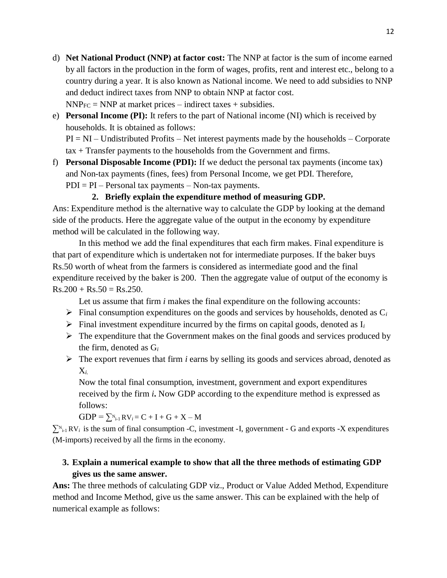- d) **Net National Product (NNP) at factor cost:** The NNP at factor is the sum of income earned by all factors in the production in the form of wages, profits, rent and interest etc., belong to a country during a year. It is also known as National income. We need to add subsidies to NNP and deduct indirect taxes from NNP to obtain NNP at factor cost.  $NNP_{FC} = NNP$  at market prices – indirect taxes + subsidies.
- e) **Personal Income (PI):** It refers to the part of National income (NI) which is received by households. It is obtained as follows:  $PI = NI - Undistributed Profits - Net interest payments made by the households - Corporate$ 
	- tax + Transfer payments to the households from the Government and firms.
- f) **Personal Disposable Income (PDI):** If we deduct the personal tax payments (income tax) and Non-tax payments (fines, fees) from Personal Income, we get PDI. Therefore,  $PDI = PI - Personal tax payments - Non-tax payments.$

### **2. Briefly explain the expenditure method of measuring GDP.**

Ans: Expenditure method is the alternative way to calculate the GDP by looking at the demand side of the products. Here the aggregate value of the output in the economy by expenditure method will be calculated in the following way.

In this method we add the final expenditures that each firm makes. Final expenditure is that part of expenditure which is undertaken not for intermediate purposes. If the baker buys Rs.50 worth of wheat from the farmers is considered as intermediate good and the final expenditure received by the baker is 200. Then the aggregate value of output of the economy is  $Rs.200 + Rs.50 = Rs.250.$ 

Let us assume that firm *i* makes the final expenditure on the following accounts:

- $\triangleright$  Final consumption expenditures on the goods and services by households, denoted as  $C_i$
- $\triangleright$  Final investment expenditure incurred by the firms on capital goods, denoted as  $I_i$
- $\triangleright$  The expenditure that the Government makes on the final goods and services produced by the firm, denoted as G*<sup>i</sup>*
- ➢ The export revenues that firm *i* earns by selling its goods and services abroad, denoted as X*i.*

Now the total final consumption, investment, government and export expenditures received by the firm *i***.** Now GDP according to the expenditure method is expressed as follows:

 $GDP = \sum_{i=1}^{N} RV_i = C + I + G + X - M$ 

 $\sum_{i=1}^{N} RV_i$  is the sum of final consumption -C, investment -I, government - G and exports -X expenditures (M-imports) received by all the firms in the economy.

# **3. Explain a numerical example to show that all the three methods of estimating GDP gives us the same answer.**

**Ans:** The three methods of calculating GDP viz., Product or Value Added Method, Expenditure method and Income Method, give us the same answer. This can be explained with the help of numerical example as follows: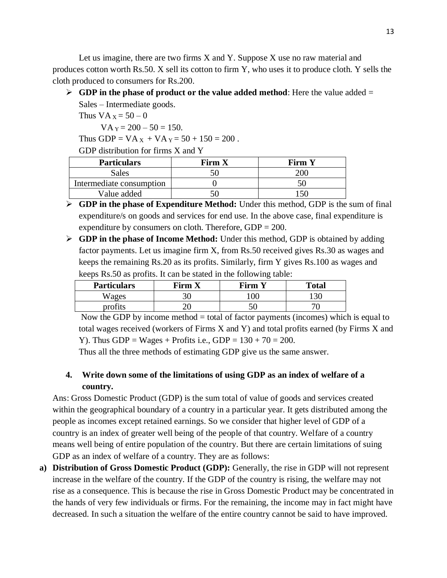Let us imagine, there are two firms X and Y. Suppose X use no raw material and produces cotton worth Rs.50. X sell its cotton to firm Y, who uses it to produce cloth. Y sells the cloth produced to consumers for Rs.200.

 $\triangleright$  **GDP in the phase of product or the value added method**: Here the value added  $=$ 

Sales – Intermediate goods. Thus  $VA_x = 50 - 0$ 

 $VA<sub>Y</sub> = 200 - 50 = 150.$ 

Thus GDP =  $VA_X + VA_Y = 50 + 150 = 200$ .

GDP distribution for firms X and Y

| <b>Particulars</b>       | Firm X | <b>Firm Y</b> |
|--------------------------|--------|---------------|
| Sales                    |        | 20G           |
| Intermediate consumption |        |               |
| Value added              |        |               |

- ➢ **GDP in the phase of Expenditure Method:** Under this method, GDP is the sum of final expenditure/s on goods and services for end use. In the above case, final expenditure is expenditure by consumers on cloth. Therefore,  $GDP = 200$ .
- ➢ **GDP in the phase of Income Method:** Under this method, GDP is obtained by adding factor payments. Let us imagine firm X, from Rs.50 received gives Rs.30 as wages and keeps the remaining Rs.20 as its profits. Similarly, firm Y gives Rs.100 as wages and keeps Rs.50 as profits. It can be stated in the following table:

| <b>Particulars</b> | Firm X | Firm     | <b>Total</b>       |
|--------------------|--------|----------|--------------------|
| Wages              | 30     | $\Omega$ | $\mathcal{U}$<br>. |
| $projit^-$         |        | 51       |                    |

Now the GDP by income method = total of factor payments (incomes) which is equal to total wages received (workers of Firms X and Y) and total profits earned (by Firms X and Y). Thus GDP = Wages + Profits i.e., GDP =  $130 + 70 = 200$ .

Thus all the three methods of estimating GDP give us the same answer.

# **4. Write down some of the limitations of using GDP as an index of welfare of a country.**

Ans: Gross Domestic Product (GDP) is the sum total of value of goods and services created within the geographical boundary of a country in a particular year. It gets distributed among the people as incomes except retained earnings. So we consider that higher level of GDP of a country is an index of greater well being of the people of that country. Welfare of a country means well being of entire population of the country. But there are certain limitations of suing GDP as an index of welfare of a country. They are as follows:

**a) Distribution of Gross Domestic Product (GDP):** Generally, the rise in GDP will not represent increase in the welfare of the country. If the GDP of the country is rising, the welfare may not rise as a consequence. This is because the rise in Gross Domestic Product may be concentrated in the hands of very few individuals or firms. For the remaining, the income may in fact might have decreased. In such a situation the welfare of the entire country cannot be said to have improved.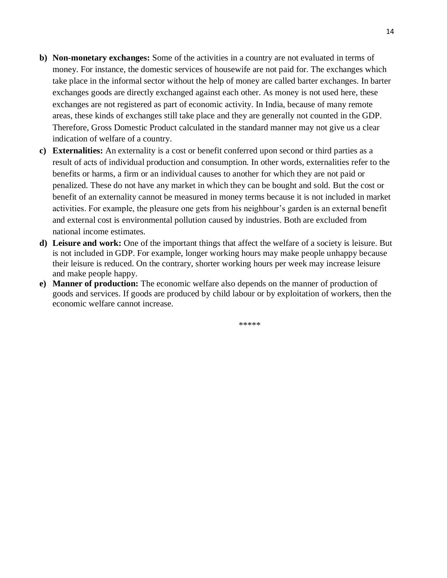- **b) Non-monetary exchanges:** Some of the activities in a country are not evaluated in terms of money. For instance, the domestic services of housewife are not paid for. The exchanges which take place in the informal sector without the help of money are called barter exchanges. In barter exchanges goods are directly exchanged against each other. As money is not used here, these exchanges are not registered as part of economic activity. In India, because of many remote areas, these kinds of exchanges still take place and they are generally not counted in the GDP. Therefore, Gross Domestic Product calculated in the standard manner may not give us a clear indication of welfare of a country.
- **c) Externalities:** An externality is a cost or benefit conferred upon second or third parties as a result of acts of individual production and consumption. In other words, externalities refer to the benefits or harms, a firm or an individual causes to another for which they are not paid or penalized. These do not have any market in which they can be bought and sold. But the cost or benefit of an externality cannot be measured in money terms because it is not included in market activities. For example, the pleasure one gets from his neighbour's garden is an external benefit and external cost is environmental pollution caused by industries. Both are excluded from national income estimates.
- **d) Leisure and work:** One of the important things that affect the welfare of a society is leisure. But is not included in GDP. For example, longer working hours may make people unhappy because their leisure is reduced. On the contrary, shorter working hours per week may increase leisure and make people happy.
- **e) Manner of production:** The economic welfare also depends on the manner of production of goods and services. If goods are produced by child labour or by exploitation of workers, then the economic welfare cannot increase.

\*\*\*\*\*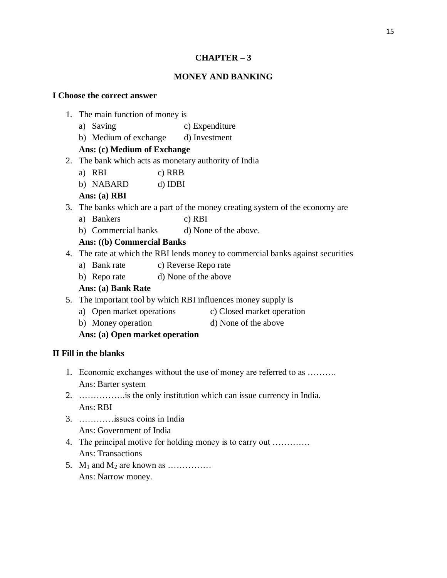#### **CHAPTER – 3**

#### **MONEY AND BANKING**

#### **I Choose the correct answer**

- 1. The main function of money is
	- a) Saving c) Expenditure
	- b) Medium of exchange d) Investment

### **Ans: (c) Medium of Exchange**

- 2. The bank which acts as monetary authority of India
	- a) RBI c) RRB
	- b) NABARD d) IDBI

### **Ans: (a) RBI**

- 3. The banks which are a part of the money creating system of the economy are
	- a) Bankers c) RBI
	- b) Commercial banks d) None of the above.

### **Ans: ((b) Commercial Banks**

- 4. The rate at which the RBI lends money to commercial banks against securities
	- a) Bank rate c) Reverse Repo rate
	- b) Repo rate d) None of the above

### **Ans: (a) Bank Rate**

- 5. The important tool by which RBI influences money supply is
	- a) Open market operations c) Closed market operation
	- b) Money operation d) None of the above

### **Ans: (a) Open market operation**

### **II Fill in the blanks**

- 1. Economic exchanges without the use of money are referred to as ………. Ans: Barter system
- 2. …………….is the only institution which can issue currency in India. Ans: RBI
- 3. …………issues coins in India Ans: Government of India
- 4. The principal motive for holding money is to carry out …………. Ans: Transactions
- 5.  $M_1$  and  $M_2$  are known as  $\dots\dots\dots\dots$ Ans: Narrow money.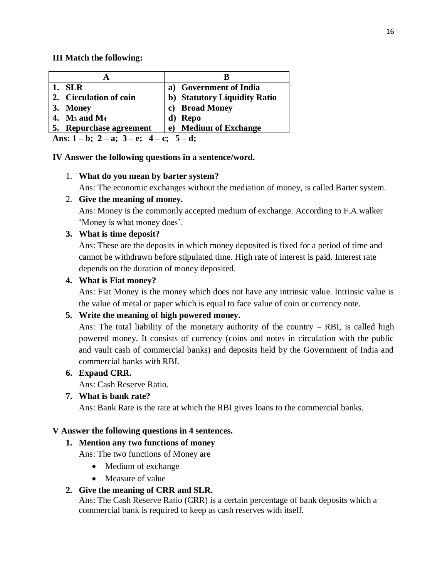### **III Match the following:**

| <b>SLR</b>                                             | a) Government of India       |  |  |
|--------------------------------------------------------|------------------------------|--|--|
| 2. Circulation of coin                                 | b) Statutory Liquidity Ratio |  |  |
| 3. Money                                               | c) Broad Money               |  |  |
| 4. $M_3$ and $M_4$                                     | d) Repo                      |  |  |
| 5. Repurchase agreement                                | e) Medium of Exchange        |  |  |
| Ans: $1 - b$ ; $2 - a$ ; $3 - e$ ; $4 - c$ ; $5 - d$ ; |                              |  |  |

### **IV Answer the following questions in a sentence/word.**

### 1. **What do you mean by barter system?**

Ans: The economic exchanges without the mediation of money, is called Barter system.

### 2. **Give the meaning of money.**

Ans: Money is the commonly accepted medium of exchange. According to F.A.walker 'Money is what money does'.

### **3. What is time deposit?**

Ans: These are the deposits in which money deposited is fixed for a period of time and cannot be withdrawn before stipulated time. High rate of interest is paid. Interest rate depends on the duration of money deposited.

### **4. What is Fiat money?**

Ans: Fiat Money is the money which does not have any intrinsic value. Intrinsic value is the value of metal or paper which is equal to face value of coin or currency note.

### **5. Write the meaning of high powered money.**

Ans: The total liability of the monetary authority of the country – RBI, is called high powered money. It consists of currency (coins and notes in circulation with the public and vault cash of commercial banks) and deposits held by the Government of India and commercial banks with RBI.

### **6. Expand CRR.**

Ans: Cash Reserve Ratio.

### **7. What is bank rate?**

Ans: Bank Rate is the rate at which the RBI gives loans to the commercial banks.

### **V Answer the following questions in 4 sentences.**

### **1. Mention any two functions of money**

Ans: The two functions of Money are

- Medium of exchange
- Measure of value

### **2. Give the meaning of CRR and SLR.**

Ans: The Cash Reserve Ratio (CRR) is a certain percentage of bank deposits which a commercial bank is required to keep as cash reserves with itself.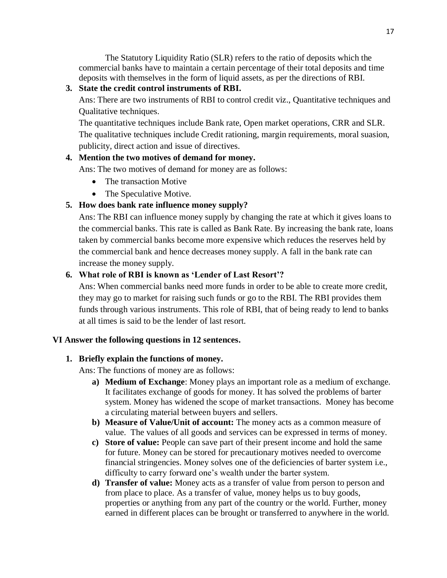The Statutory Liquidity Ratio (SLR) refers to the ratio of deposits which the commercial banks have to maintain a certain percentage of their total deposits and time deposits with themselves in the form of liquid assets, as per the directions of RBI.

**3. State the credit control instruments of RBI.**

Ans: There are two instruments of RBI to control credit viz., Quantitative techniques and Qualitative techniques.

The quantitative techniques include Bank rate, Open market operations, CRR and SLR. The qualitative techniques include Credit rationing, margin requirements, moral suasion, publicity, direct action and issue of directives.

### **4. Mention the two motives of demand for money.**

Ans: The two motives of demand for money are as follows:

- The transaction Motive
- The Speculative Motive.

# **5. How does bank rate influence money supply?**

Ans: The RBI can influence money supply by changing the rate at which it gives loans to the commercial banks. This rate is called as Bank Rate. By increasing the bank rate, loans taken by commercial banks become more expensive which reduces the reserves held by the commercial bank and hence decreases money supply. A fall in the bank rate can increase the money supply.

# **6. What role of RBI is known as 'Lender of Last Resort'?**

Ans: When commercial banks need more funds in order to be able to create more credit, they may go to market for raising such funds or go to the RBI. The RBI provides them funds through various instruments. This role of RBI, that of being ready to lend to banks at all times is said to be the lender of last resort.

### **VI Answer the following questions in 12 sentences.**

### **1. Briefly explain the functions of money.**

Ans: The functions of money are as follows:

- **a) Medium of Exchange**: Money plays an important role as a medium of exchange. It facilitates exchange of goods for money. It has solved the problems of barter system. Money has widened the scope of market transactions. Money has become a circulating material between buyers and sellers.
- **b) Measure of Value/Unit of account:** The money acts as a common measure of value. The values of all goods and services can be expressed in terms of money.
- **c) Store of value:** People can save part of their present income and hold the same for future. Money can be stored for precautionary motives needed to overcome financial stringencies. Money solves one of the deficiencies of barter system i.e., difficulty to carry forward one's wealth under the barter system.
- **d) Transfer of value:** Money acts as a transfer of value from person to person and from place to place. As a transfer of value, money helps us to buy goods, properties or anything from any part of the country or the world. Further, money earned in different places can be brought or transferred to anywhere in the world.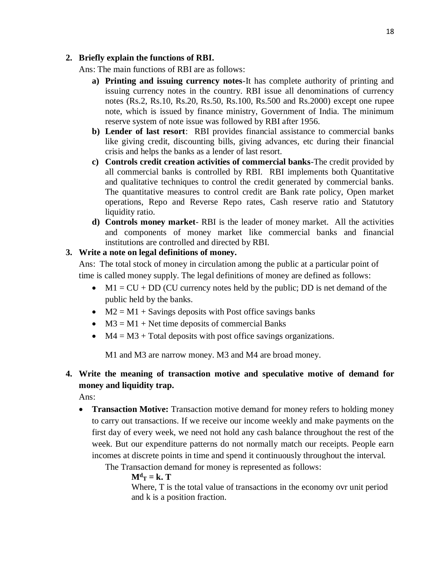#### **2. Briefly explain the functions of RBI.**

Ans: The main functions of RBI are as follows:

- **a) Printing and issuing currency notes**-It has complete authority of printing and issuing currency notes in the country. RBI issue all denominations of currency notes (Rs.2, Rs.10, Rs.20, Rs.50, Rs.100, Rs.500 and Rs.2000) except one rupee note, which is issued by finance ministry, Government of India. The minimum reserve system of note issue was followed by RBI after 1956.
- **b) Lender of last resort**: RBI provides financial assistance to commercial banks like giving credit, discounting bills, giving advances, etc during their financial crisis and helps the banks as a lender of last resort.
- **c) Controls credit creation activities of commercial banks**-The credit provided by all commercial banks is controlled by RBI. RBI implements both Quantitative and qualitative techniques to control the credit generated by commercial banks. The quantitative measures to control credit are Bank rate policy, Open market operations, Repo and Reverse Repo rates, Cash reserve ratio and Statutory liquidity ratio.
- **d) Controls money market** RBI is the leader of money market. All the activities and components of money market like commercial banks and financial institutions are controlled and directed by RBI.

### **3. Write a note on legal definitions of money.**

Ans: The total stock of money in circulation among the public at a particular point of time is called money supply. The legal definitions of money are defined as follows:

- $M1 = CU + DD$  (CU currency notes held by the public; DD is net demand of the public held by the banks.
- $M2 = M1 +$  Savings deposits with Post office savings banks
- $M3 = M1 + Net$  time deposits of commercial Banks
- $M4 = M3 + Total \text{ deposits with post office savings organizations.}$

M1 and M3 are narrow money. M3 and M4 are broad money.

# **4. Write the meaning of transaction motive and speculative motive of demand for money and liquidity trap.**

Ans:

• **Transaction Motive:** Transaction motive demand for money refers to holding money to carry out transactions. If we receive our income weekly and make payments on the first day of every week, we need not hold any cash balance throughout the rest of the week. But our expenditure patterns do not normally match our receipts. People earn incomes at discrete points in time and spend it continuously throughout the interval.

The Transaction demand for money is represented as follows:

 $M^d$ **T** = **k**. **T** 

Where, T is the total value of transactions in the economy ovr unit period and k is a position fraction.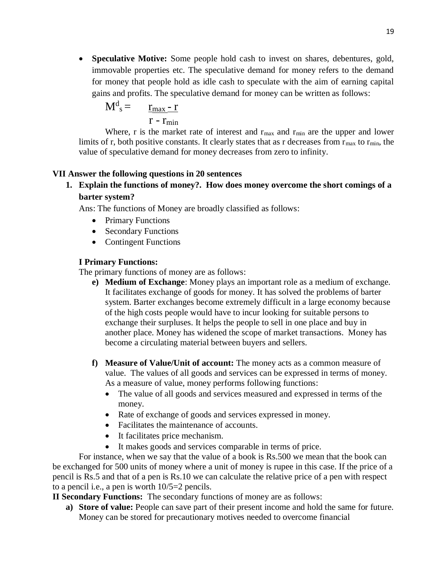• **Speculative Motive:** Some people hold cash to invest on shares, debentures, gold, immovable properties etc. The speculative demand for money refers to the demand for money that people hold as idle cash to speculate with the aim of earning capital gains and profits. The speculative demand for money can be written as follows:

$$
M^d{}_s = \frac{r_{\text{max}} - r}{r - r_{\text{min}}}
$$

Where, r is the market rate of interest and  $r_{\text{max}}$  and  $r_{\text{min}}$  are the upper and lower limits of r, both positive constants. It clearly states that as r decreases from  $r_{\text{max}}$  to  $r_{\text{min}}$ , the value of speculative demand for money decreases from zero to infinity.

### **VII Answer the following questions in 20 sentences**

# **1. Explain the functions of money?. How does money overcome the short comings of a barter system?**

Ans: The functions of Money are broadly classified as follows:

- Primary Functions
- Secondary Functions
- Contingent Functions

### **I Primary Functions:**

The primary functions of money are as follows:

- **e) Medium of Exchange**: Money plays an important role as a medium of exchange. It facilitates exchange of goods for money. It has solved the problems of barter system. Barter exchanges become extremely difficult in a large economy because of the high costs people would have to incur looking for suitable persons to exchange their surpluses. It helps the people to sell in one place and buy in another place. Money has widened the scope of market transactions. Money has become a circulating material between buyers and sellers.
- **f) Measure of Value/Unit of account:** The money acts as a common measure of value. The values of all goods and services can be expressed in terms of money. As a measure of value, money performs following functions:
	- The value of all goods and services measured and expressed in terms of the money.
	- Rate of exchange of goods and services expressed in money.
	- Facilitates the maintenance of accounts.
	- It facilitates price mechanism.
	- It makes goods and services comparable in terms of price.

For instance, when we say that the value of a book is Rs.500 we mean that the book can be exchanged for 500 units of money where a unit of money is rupee in this case. If the price of a pencil is Rs.5 and that of a pen is Rs.10 we can calculate the relative price of a pen with respect to a pencil i.e., a pen is worth 10/5=2 pencils.

**II Secondary Functions:** The secondary functions of money are as follows:

**a) Store of value:** People can save part of their present income and hold the same for future. Money can be stored for precautionary motives needed to overcome financial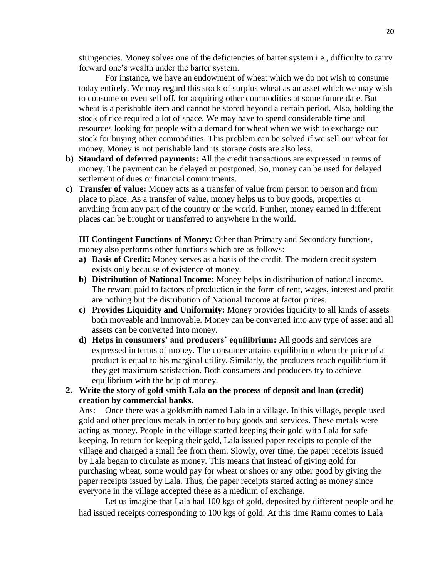stringencies. Money solves one of the deficiencies of barter system i.e., difficulty to carry forward one's wealth under the barter system.

For instance, we have an endowment of wheat which we do not wish to consume today entirely. We may regard this stock of surplus wheat as an asset which we may wish to consume or even sell off, for acquiring other commodities at some future date. But wheat is a perishable item and cannot be stored beyond a certain period. Also, holding the stock of rice required a lot of space. We may have to spend considerable time and resources looking for people with a demand for wheat when we wish to exchange our stock for buying other commodities. This problem can be solved if we sell our wheat for money. Money is not perishable land its storage costs are also less.

- **b) Standard of deferred payments:** All the credit transactions are expressed in terms of money. The payment can be delayed or postponed. So, money can be used for delayed settlement of dues or financial commitments.
- **c) Transfer of value:** Money acts as a transfer of value from person to person and from place to place. As a transfer of value, money helps us to buy goods, properties or anything from any part of the country or the world. Further, money earned in different places can be brought or transferred to anywhere in the world.

**III Contingent Functions of Money:** Other than Primary and Secondary functions, money also performs other functions which are as follows:

- **a) Basis of Credit:** Money serves as a basis of the credit. The modern credit system exists only because of existence of money.
- **b) Distribution of National Income:** Money helps in distribution of national income. The reward paid to factors of production in the form of rent, wages, interest and profit are nothing but the distribution of National Income at factor prices.
- **c) Provides Liquidity and Uniformity:** Money provides liquidity to all kinds of assets both moveable and immovable. Money can be converted into any type of asset and all assets can be converted into money.
- **d) Helps in consumers' and producers' equilibrium:** All goods and services are expressed in terms of money. The consumer attains equilibrium when the price of a product is equal to his marginal utility. Similarly, the producers reach equilibrium if they get maximum satisfaction. Both consumers and producers try to achieve equilibrium with the help of money.
- **2. Write the story of gold smith Lala on the process of deposit and loan (credit) creation by commercial banks.**

Ans: Once there was a goldsmith named Lala in a village. In this village, people used gold and other precious metals in order to buy goods and services. These metals were acting as money. People in the village started keeping their gold with Lala for safe keeping. In return for keeping their gold, Lala issued paper receipts to people of the village and charged a small fee from them. Slowly, over time, the paper receipts issued by Lala began to circulate as money. This means that instead of giving gold for purchasing wheat, some would pay for wheat or shoes or any other good by giving the paper receipts issued by Lala. Thus, the paper receipts started acting as money since everyone in the village accepted these as a medium of exchange.

Let us imagine that Lala had 100 kgs of gold, deposited by different people and he had issued receipts corresponding to 100 kgs of gold. At this time Ramu comes to Lala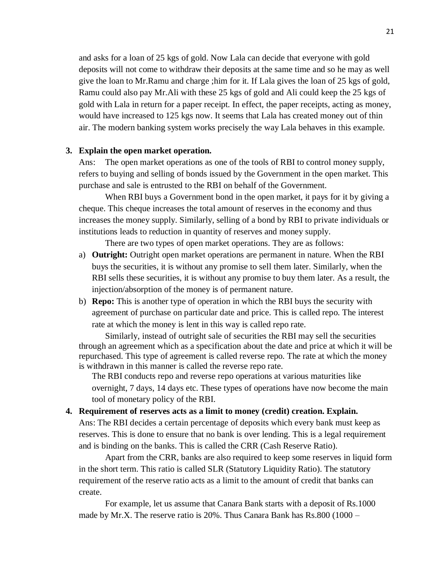and asks for a loan of 25 kgs of gold. Now Lala can decide that everyone with gold deposits will not come to withdraw their deposits at the same time and so he may as well give the loan to Mr.Ramu and charge ;him for it. If Lala gives the loan of 25 kgs of gold, Ramu could also pay Mr.Ali with these 25 kgs of gold and Ali could keep the 25 kgs of gold with Lala in return for a paper receipt. In effect, the paper receipts, acting as money, would have increased to 125 kgs now. It seems that Lala has created money out of thin air. The modern banking system works precisely the way Lala behaves in this example.

#### **3. Explain the open market operation.**

Ans: The open market operations as one of the tools of RBI to control money supply, refers to buying and selling of bonds issued by the Government in the open market. This purchase and sale is entrusted to the RBI on behalf of the Government.

When RBI buys a Government bond in the open market, it pays for it by giving a cheque. This cheque increases the total amount of reserves in the economy and thus increases the money supply. Similarly, selling of a bond by RBI to private individuals or institutions leads to reduction in quantity of reserves and money supply.

There are two types of open market operations. They are as follows:

- a) **Outright:** Outright open market operations are permanent in nature. When the RBI buys the securities, it is without any promise to sell them later. Similarly, when the RBI sells these securities, it is without any promise to buy them later. As a result, the injection/absorption of the money is of permanent nature.
- b) **Repo:** This is another type of operation in which the RBI buys the security with agreement of purchase on particular date and price. This is called repo. The interest rate at which the money is lent in this way is called repo rate.

Similarly, instead of outright sale of securities the RBI may sell the securities through an agreement which as a specification about the date and price at which it will be repurchased. This type of agreement is called reverse repo. The rate at which the money is withdrawn in this manner is called the reverse repo rate.

The RBI conducts repo and reverse repo operations at various maturities like overnight, 7 days, 14 days etc. These types of operations have now become the main tool of monetary policy of the RBI.

#### **4. Requirement of reserves acts as a limit to money (credit) creation. Explain.**

Ans: The RBI decides a certain percentage of deposits which every bank must keep as reserves. This is done to ensure that no bank is over lending. This is a legal requirement and is binding on the banks. This is called the CRR (Cash Reserve Ratio).

Apart from the CRR, banks are also required to keep some reserves in liquid form in the short term. This ratio is called SLR (Statutory Liquidity Ratio). The statutory requirement of the reserve ratio acts as a limit to the amount of credit that banks can create.

For example, let us assume that Canara Bank starts with a deposit of Rs.1000 made by Mr.X. The reserve ratio is 20%. Thus Canara Bank has Rs.800 (1000 –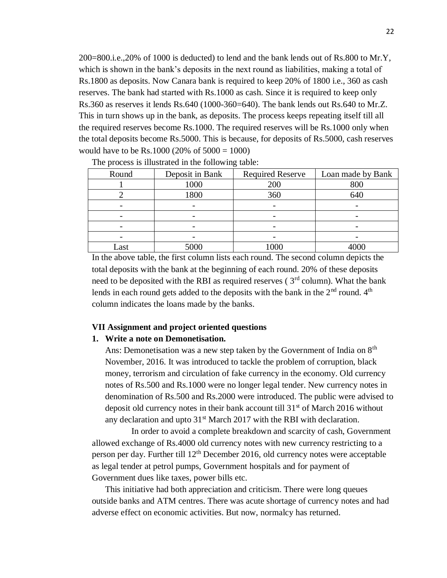200=800.i.e.,20% of 1000 is deducted) to lend and the bank lends out of Rs.800 to Mr.Y, which is shown in the bank's deposits in the next round as liabilities, making a total of Rs.1800 as deposits. Now Canara bank is required to keep 20% of 1800 i.e., 360 as cash reserves. The bank had started with Rs.1000 as cash. Since it is required to keep only Rs.360 as reserves it lends Rs.640 (1000-360=640). The bank lends out Rs.640 to Mr.Z. This in turn shows up in the bank, as deposits. The process keeps repeating itself till all the required reserves become Rs.1000. The required reserves will be Rs.1000 only when the total deposits become Rs.5000. This is because, for deposits of Rs.5000, cash reserves would have to be Rs.1000 (20% of  $5000 = 1000$ )

| Round<br>Deposit in Bank |      | <b>Required Reserve</b> | Loan made by Bank |
|--------------------------|------|-------------------------|-------------------|
| 1000                     |      | 200                     | 800               |
|                          | 1800 | 360                     | 640               |
|                          |      |                         |                   |
|                          |      |                         |                   |
|                          |      |                         |                   |
|                          |      |                         |                   |
| Last                     | 5000 | 000                     | 4000              |

The process is illustrated in the following table:

In the above table, the first column lists each round. The second column depicts the total deposits with the bank at the beginning of each round. 20% of these deposits need to be deposited with the RBI as required reserves ( $3<sup>rd</sup>$  column). What the bank lends in each round gets added to the deposits with the bank in the  $2<sup>nd</sup>$  round.  $4<sup>th</sup>$ column indicates the loans made by the banks.

#### **VII Assignment and project oriented questions**

#### **1. Write a note on Demonetisation.**

Ans: Demonetisation was a new step taken by the Government of India on 8<sup>th</sup> November, 2016. It was introduced to tackle the problem of corruption, black money, terrorism and circulation of fake currency in the economy. Old currency notes of Rs.500 and Rs.1000 were no longer legal tender. New currency notes in denomination of Rs.500 and Rs.2000 were introduced. The public were advised to deposit old currency notes in their bank account till  $31<sup>st</sup>$  of March 2016 without any declaration and upto  $31<sup>st</sup>$  March 2017 with the RBI with declaration.

In order to avoid a complete breakdown and scarcity of cash, Government allowed exchange of Rs.4000 old currency notes with new currency restricting to a person per day. Further till  $12<sup>th</sup>$  December 2016, old currency notes were acceptable as legal tender at petrol pumps, Government hospitals and for payment of Government dues like taxes, power bills etc.

This initiative had both appreciation and criticism. There were long queues outside banks and ATM centres. There was acute shortage of currency notes and had adverse effect on economic activities. But now, normalcy has returned.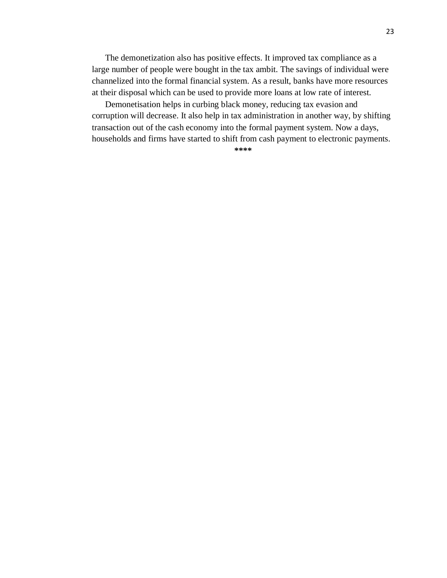The demonetization also has positive effects. It improved tax compliance as a large number of people were bought in the tax ambit. The savings of individual were channelized into the formal financial system. As a result, banks have more resources at their disposal which can be used to provide more loans at low rate of interest.

Demonetisation helps in curbing black money, reducing tax evasion and corruption will decrease. It also help in tax administration in another way, by shifting transaction out of the cash economy into the formal payment system. Now a days, households and firms have started to shift from cash payment to electronic payments.

**\*\*\*\***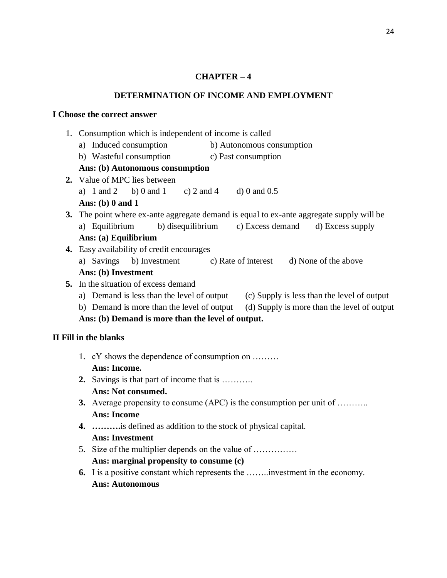### **CHAPTER – 4**

#### **DETERMINATION OF INCOME AND EMPLOYMENT**

#### **I Choose the correct answer**

- 1. Consumption which is independent of income is called
	- a) Induced consumption b) Autonomous consumption
	- b) Wasteful consumption c) Past consumption

### **Ans: (b) Autonomous consumption**

- **2.** Value of MPC lies between a) 1 and 2 b) 0 and 1 c) 2 and 4 d) 0 and 0.5 **Ans: (b) 0 and 1**
- **3.** The point where ex-ante aggregate demand is equal to ex-ante aggregate supply will be a) Equilibrium b) disequilibrium c) Excess demand d) Excess supply **Ans: (a) Equilibrium**
- **4.** Easy availability of credit encourages
	- a) Savings b) Investment c) Rate of interest d) None of the above **Ans: (b) Investment**
- **5.** In the situation of excess demand
	- a) Demand is less than the level of output (c) Supply is less than the level of output
	- b) Demand is more than the level of output (d) Supply is more than the level of output

**Ans: (b) Demand is more than the level of output.**

### **II Fill in the blanks**

- 1. cY shows the dependence of consumption on ……… **Ans: Income.**
- **2.** Savings is that part of income that is ……….. **Ans: Not consumed.**
- **3.** Average propensity to consume (APC) is the consumption per unit of ……….. **Ans: Income**
- **4. ……….**is defined as addition to the stock of physical capital. **Ans: Investment**
- 5. Size of the multiplier depends on the value of …………… **Ans: marginal propensity to consume (c)**
- **6.** I is a positive constant which represents the ……..investment in the economy. **Ans: Autonomous**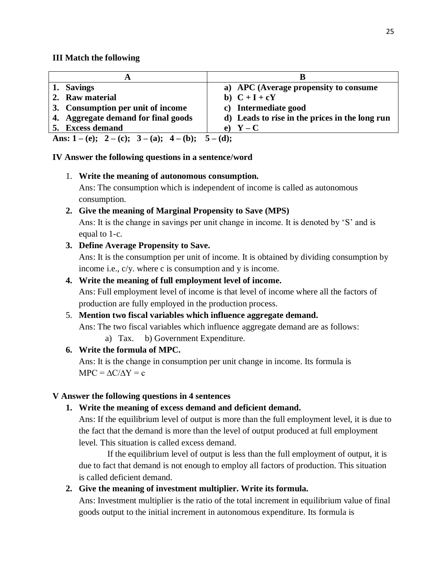#### **III Match the following**

| 1. Savings                              | a) APC (Average propensity to consume          |  |  |
|-----------------------------------------|------------------------------------------------|--|--|
| 2. Raw material                         | b) $C+I+cY$                                    |  |  |
| 3. Consumption per unit of income       | c) Intermediate good                           |  |  |
| 4. Aggregate demand for final goods     | d) Leads to rise in the prices in the long run |  |  |
| 5. Excess demand                        | e) $Y - C$                                     |  |  |
| Ans: 1-(e); 2-(c); 3-(a); 4-(b); 5-(d); |                                                |  |  |

**IV Answer the following questions in a sentence/word**

#### 1. **Write the meaning of autonomous consumption.**

Ans: The consumption which is independent of income is called as autonomous consumption.

### **2. Give the meaning of Marginal Propensity to Save (MPS)**

Ans: It is the change in savings per unit change in income. It is denoted by 'S' and is equal to 1-c.

### **3. Define Average Propensity to Save.**

Ans: It is the consumption per unit of income. It is obtained by dividing consumption by income i.e., c/y. where c is consumption and y is income.

### **4. Write the meaning of full employment level of income.**

Ans: Full employment level of income is that level of income where all the factors of production are fully employed in the production process.

#### 5. **Mention two fiscal variables which influence aggregate demand.**

Ans: The two fiscal variables which influence aggregate demand are as follows:

a) Tax. b) Government Expenditure.

### **6. Write the formula of MPC.**

Ans: It is the change in consumption per unit change in income. Its formula is  $MPC = \Delta C/\Delta Y = c$ 

#### **V Answer the following questions in 4 sentences**

#### **1. Write the meaning of excess demand and deficient demand.**

Ans: If the equilibrium level of output is more than the full employment level, it is due to the fact that the demand is more than the level of output produced at full employment level. This situation is called excess demand.

If the equilibrium level of output is less than the full employment of output, it is due to fact that demand is not enough to employ all factors of production. This situation is called deficient demand.

### **2. Give the meaning of investment multiplier. Write its formula.**

Ans: Investment multiplier is the ratio of the total increment in equilibrium value of final goods output to the initial increment in autonomous expenditure. Its formula is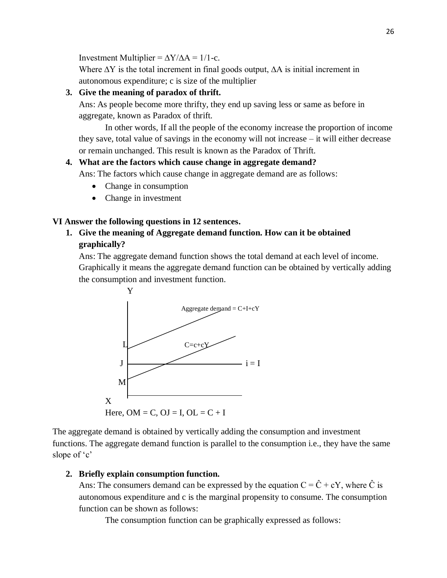Investment Multiplier =  $\Delta Y/\Delta A = 1/1$ -c.

Where  $\Delta Y$  is the total increment in final goods output,  $\Delta A$  is initial increment in autonomous expenditure; c is size of the multiplier

### **3. Give the meaning of paradox of thrift.**

Ans: As people become more thrifty, they end up saving less or same as before in aggregate, known as Paradox of thrift.

In other words, If all the people of the economy increase the proportion of income they save, total value of savings in the economy will not increase – it will either decrease or remain unchanged. This result is known as the Paradox of Thrift.

### **4. What are the factors which cause change in aggregate demand?**

Ans: The factors which cause change in aggregate demand are as follows:

- Change in consumption
- Change in investment

#### **VI Answer the following questions in 12 sentences.**

**1. Give the meaning of Aggregate demand function. How can it be obtained graphically?**

Ans: The aggregate demand function shows the total demand at each level of income. Graphically it means the aggregate demand function can be obtained by vertically adding the consumption and investment function.



The aggregate demand is obtained by vertically adding the consumption and investment functions. The aggregate demand function is parallel to the consumption i.e., they have the same slope of 'c'

#### **2. Briefly explain consumption function.**

Ans: The consumers demand can be expressed by the equation  $C = \hat{C} + cY$ , where  $\hat{C}$  is autonomous expenditure and c is the marginal propensity to consume. The consumption function can be shown as follows:

The consumption function can be graphically expressed as follows: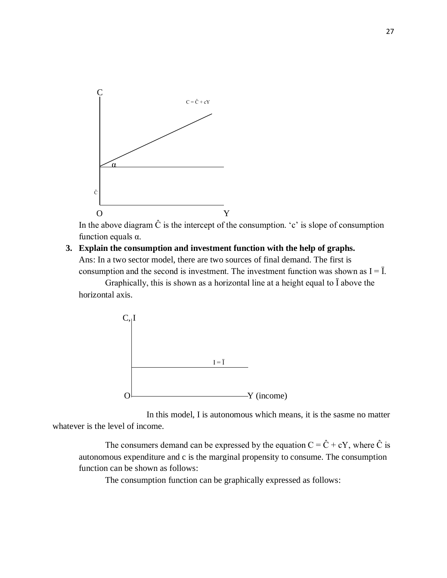

In the above diagram  $\hat{C}$  is the intercept of the consumption. 'c' is slope of consumption function equals α.

### **3. Explain the consumption and investment function with the help of graphs.** Ans: In a two sector model, there are two sources of final demand. The first is consumption and the second is investment. The investment function was shown as  $I = I$ .

Graphically, this is shown as a horizontal line at a height equal to Ї above the horizontal axis.



In this model, I is autonomous which means, it is the sasme no matter whatever is the level of income.

The consumers demand can be expressed by the equation  $C = \hat{C} + cY$ , where  $\hat{C}$  is autonomous expenditure and c is the marginal propensity to consume. The consumption function can be shown as follows:

The consumption function can be graphically expressed as follows: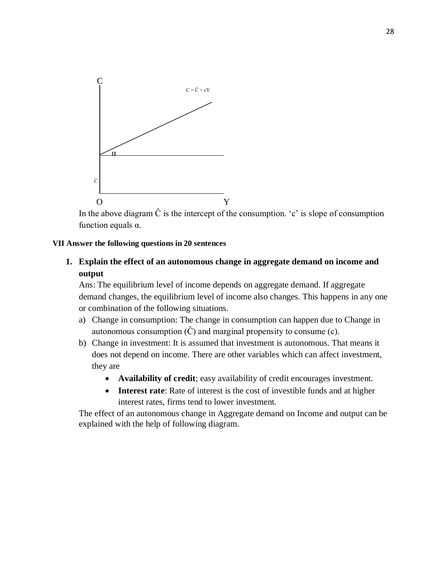

In the above diagram  $\hat{C}$  is the intercept of the consumption. 'c' is slope of consumption function equals  $\alpha$ .

#### **VII Answer the following questions in 20 sentences**

**1. Explain the effect of an autonomous change in aggregate demand on income and output**

Ans: The equilibrium level of income depends on aggregate demand. If aggregate demand changes, the equilibrium level of income also changes. This happens in any one or combination of the following situations.

- a) Change in consumption: The change in consumption can happen due to Change in autonomous consumption  $(\hat{C})$  and marginal propensity to consume (c).
- b) Change in investment: It is assumed that investment is autonomous. That means it does not depend on income. There are other variables which can affect investment, they are
	- **Availability of credit**; easy availability of credit encourages investment.
	- **Interest rate**: Rate of interest is the cost of investible funds and at higher interest rates, firms tend to lower investment.

The effect of an autonomous change in Aggregate demand on Income and output can be explained with the help of following diagram.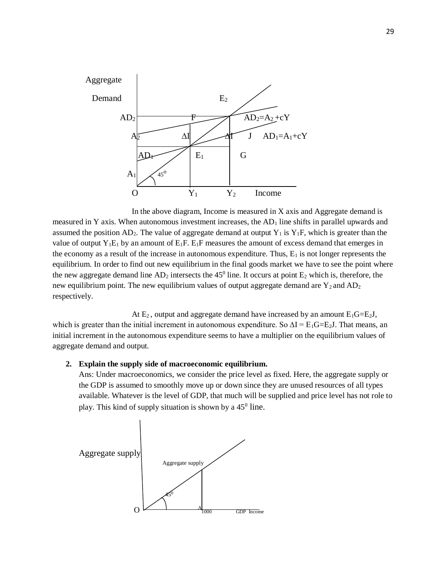

In the above diagram, Income is measured in X axis and Aggregate demand is measured in Y axis. When autonomous investment increases, the  $AD<sub>1</sub>$  line shifts in parallel upwards and assumed the position  $AD_2$ . The value of aggregate demand at output  $Y_1$  is  $Y_1F$ , which is greater than the value of output  $Y_1E_1$  by an amount of  $E_1F$ .  $E_1F$  measures the amount of excess demand that emerges in the economy as a result of the increase in autonomous expenditure. Thus,  $E_1$  is not longer represents the equilibrium. In order to find out new equilibrium in the final goods market we have to see the point where the new aggregate demand line  $AD_2$  intersects the 45<sup>0</sup> line. It occurs at point  $E_2$  which is, therefore, the new equilibrium point. The new equilibrium values of output aggregate demand are  $Y_2$  and  $AD_2$ respectively.

At  $E_2$ , output and aggregate demand have increased by an amount  $E_1G=E_2J$ , which is greater than the initial increment in autonomous expenditure. So  $\Delta I = E_1 G = E_2 J$ . That means, an initial increment in the autonomous expenditure seems to have a multiplier on the equilibrium values of aggregate demand and output.

#### **2. Explain the supply side of macroeconomic equilibrium.**

Ans: Under macroeconomics, we consider the price level as fixed. Here, the aggregate supply or the GDP is assumed to smoothly move up or down since they are unused resources of all types available. Whatever is the level of GDP, that much will be supplied and price level has not role to play. This kind of supply situation is shown by a 45<sup>0</sup> line.

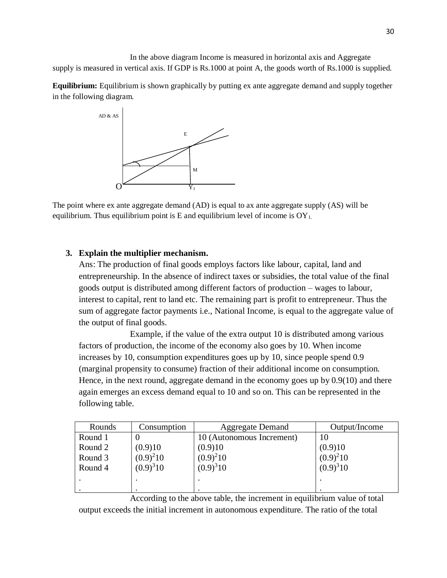In the above diagram Income is measured in horizontal axis and Aggregate supply is measured in vertical axis. If GDP is Rs.1000 at point A, the goods worth of Rs.1000 is supplied.

**Equilibrium:** Equilibrium is shown graphically by putting ex ante aggregate demand and supply together in the following diagram.



The point where ex ante aggregate demand (AD) is equal to ax ante aggregate supply (AS) will be equilibrium. Thus equilibrium point is E and equilibrium level of income is  $OY_1$ .

#### **3. Explain the multiplier mechanism.**

Ans: The production of final goods employs factors like labour, capital, land and entrepreneurship. In the absence of indirect taxes or subsidies, the total value of the final goods output is distributed among different factors of production – wages to labour, interest to capital, rent to land etc. The remaining part is profit to entrepreneur. Thus the sum of aggregate factor payments i.e., National Income, is equal to the aggregate value of the output of final goods.

Example, if the value of the extra output 10 is distributed among various factors of production, the income of the economy also goes by 10. When income increases by 10, consumption expenditures goes up by 10, since people spend 0.9 (marginal propensity to consume) fraction of their additional income on consumption. Hence, in the next round, aggregate demand in the economy goes up by 0.9(10) and there again emerges an excess demand equal to 10 and so on. This can be represented in the following table.

| Rounds  | Consumption   | <b>Aggregate Demand</b>   | Output/Income |
|---------|---------------|---------------------------|---------------|
| Round 1 |               | 10 (Autonomous Increment) |               |
| Round 2 | (0.9)10       | (0.9)10                   | (0.9)10       |
| Round 3 | $(0.9)^210$   | $(0.9)^210$               | $(0.9)^210$   |
| Round 4 | $(0.9)^{3}10$ | $(0.9)^{3}10$             | $(0.9)^{3}10$ |
|         |               |                           |               |
|         |               |                           |               |

According to the above table, the increment in equilibrium value of total output exceeds the initial increment in autonomous expenditure. The ratio of the total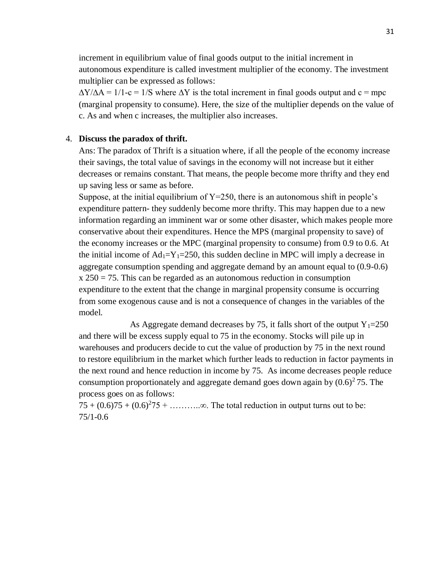increment in equilibrium value of final goods output to the initial increment in autonomous expenditure is called investment multiplier of the economy. The investment multiplier can be expressed as follows:

 $\Delta$ Y/ $\Delta$ A = 1/1-c = 1/S where  $\Delta$ Y is the total increment in final goods output and c = mpc (marginal propensity to consume). Here, the size of the multiplier depends on the value of c. As and when c increases, the multiplier also increases.

#### 4. **Discuss the paradox of thrift.**

Ans: The paradox of Thrift is a situation where, if all the people of the economy increase their savings, the total value of savings in the economy will not increase but it either decreases or remains constant. That means, the people become more thrifty and they end up saving less or same as before.

Suppose, at the initial equilibrium of  $Y=250$ , there is an autonomous shift in people's expenditure pattern- they suddenly become more thrifty. This may happen due to a new information regarding an imminent war or some other disaster, which makes people more conservative about their expenditures. Hence the MPS (marginal propensity to save) of the economy increases or the MPC (marginal propensity to consume) from 0.9 to 0.6. At the initial income of  $Ad_1 = Y_1 = 250$ , this sudden decline in MPC will imply a decrease in aggregate consumption spending and aggregate demand by an amount equal to (0.9-0.6)  $x 250 = 75$ . This can be regarded as an autonomous reduction in consumption expenditure to the extent that the change in marginal propensity consume is occurring from some exogenous cause and is not a consequence of changes in the variables of the model.

As Aggregate demand decreases by 75, it falls short of the output  $Y_1=250$ and there will be excess supply equal to 75 in the economy. Stocks will pile up in warehouses and producers decide to cut the value of production by 75 in the next round to restore equilibrium in the market which further leads to reduction in factor payments in the next round and hence reduction in income by 75. As income decreases people reduce consumption proportionately and aggregate demand goes down again by  $(0.6)^2$  75. The process goes on as follows:

 $75 + (0.6)75 + (0.6)^275 + \dots$   $\infty$ . The total reduction in output turns out to be: 75/1-0.6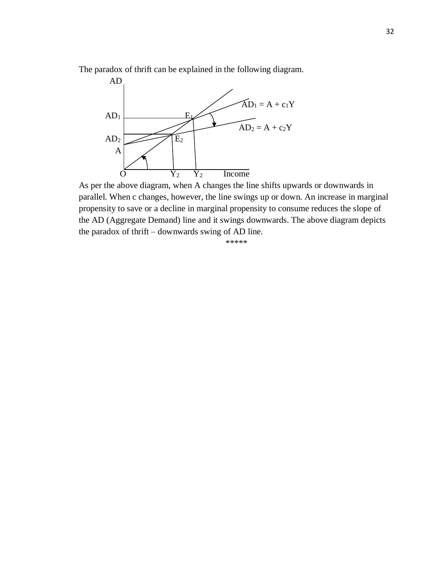The paradox of thrift can be explained in the following diagram.



As per the above diagram, when A changes the line shifts upwards or downwards in parallel. When c changes, however, the line swings up or down. An increase in marginal propensity to save or a decline in marginal propensity to consume reduces the slope of the AD (Aggregate Demand) line and it swings downwards. The above diagram depicts the paradox of thrift – downwards swing of AD line.

\*\*\*\*\*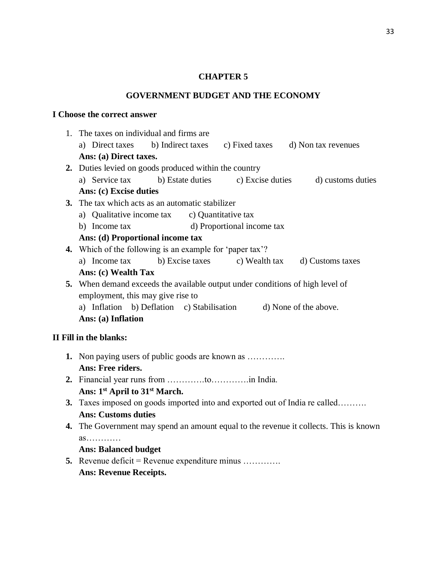#### **CHAPTER 5**

#### **GOVERNMENT BUDGET AND THE ECONOMY**

#### **I Choose the correct answer**

- 1. The taxes on individual and firms are a) Direct taxes b) Indirect taxes c) Fixed taxes d) Non tax revenues **Ans: (a) Direct taxes. 2.** Duties levied on goods produced within the country a) Service tax b) Estate duties c) Excise duties d) customs duties **Ans: (c) Excise duties 3.** The tax which acts as an automatic stabilizer a) Qualitative income tax c) Quantitative tax b) Income tax d) Proportional income tax **Ans: (d) Proportional income tax 4.** Which of the following is an example for 'paper tax'? a) Income tax b) Excise taxes c) Wealth tax d) Customs taxes **Ans: (c) Wealth Tax 5.** When demand exceeds the available output under conditions of high level of employment, this may give rise to a) Inflation b) Deflation c) Stabilisation d) None of the above. **Ans: (a) Inflation II Fill in the blanks: 1.** Non paying users of public goods are known as ………….
	- **Ans: Free riders.**
		- **2.** Financial year runs from ………….to………….in India. **Ans: 1st April to 31st March.**
		- **3.** Taxes imposed on goods imported into and exported out of India re called………. **Ans: Customs duties**
		- **4.** The Government may spend an amount equal to the revenue it collects. This is known as…………

#### **Ans: Balanced budget**

**5.** Revenue deficit = Revenue expenditure minus …………. **Ans: Revenue Receipts.**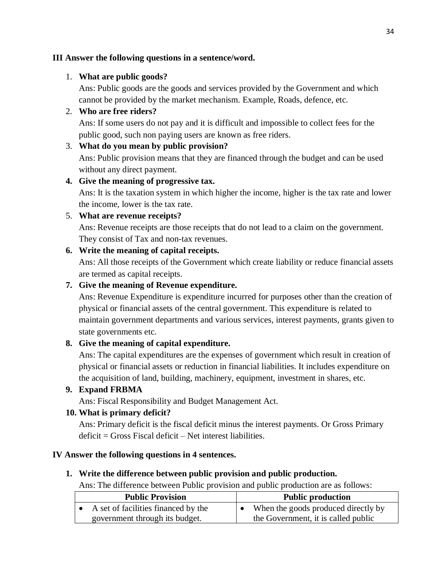### **III Answer the following questions in a sentence/word.**

### 1. **What are public goods?**

Ans: Public goods are the goods and services provided by the Government and which cannot be provided by the market mechanism. Example, Roads, defence, etc.

# 2. **Who are free riders?**

Ans: If some users do not pay and it is difficult and impossible to collect fees for the public good, such non paying users are known as free riders.

### 3. **What do you mean by public provision?**

Ans: Public provision means that they are financed through the budget and can be used without any direct payment.

# **4. Give the meaning of progressive tax.**

Ans: It is the taxation system in which higher the income, higher is the tax rate and lower the income, lower is the tax rate.

# 5. **What are revenue receipts?**

Ans: Revenue receipts are those receipts that do not lead to a claim on the government. They consist of Tax and non-tax revenues.

# **6. Write the meaning of capital receipts.**

Ans: All those receipts of the Government which create liability or reduce financial assets are termed as capital receipts.

# **7. Give the meaning of Revenue expenditure.**

Ans: Revenue Expenditure is expenditure incurred for purposes other than the creation of physical or financial assets of the central government. This expenditure is related to maintain government departments and various services, interest payments, grants given to state governments etc.

# **8. Give the meaning of capital expenditure.**

Ans: The capital expenditures are the expenses of government which result in creation of physical or financial assets or reduction in financial liabilities. It includes expenditure on the acquisition of land, building, machinery, equipment, investment in shares, etc.

### **9. Expand FRBMA**

Ans: Fiscal Responsibility and Budget Management Act.

# **10. What is primary deficit?**

Ans: Primary deficit is the fiscal deficit minus the interest payments. Or Gross Primary deficit = Gross Fiscal deficit – Net interest liabilities.

### **IV Answer the following questions in 4 sentences.**

### **1. Write the difference between public provision and public production.**

Ans: The difference between Public provision and public production are as follows:

| <b>Public Provision</b>             | <b>Public production</b>            |
|-------------------------------------|-------------------------------------|
| A set of facilities financed by the | When the goods produced directly by |
| government through its budget.      | the Government, it is called public |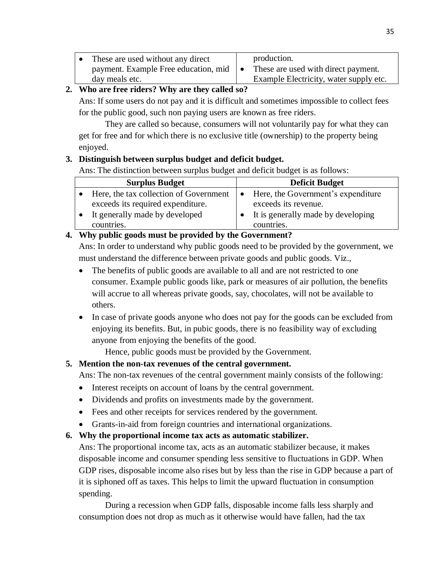|      | • These are used without any direct            | production.                            |
|------|------------------------------------------------|----------------------------------------|
|      | payment. Example Free education, mid $\bullet$ | These are used with direct payment.    |
|      | day meals etc.                                 | Example Electricity, water supply etc. |
| ---- |                                                |                                        |

### **2. Who are free riders? Why are they called so?**

Ans: If some users do not pay and it is difficult and sometimes impossible to collect fees for the public good, such non paying users are known as free riders.

They are called so because, consumers will not voluntarily pay for what they can get for free and for which there is no exclusive title (ownership) to the property being enjoyed.

# **3. Distinguish between surplus budget and deficit budget.**

Ans: The distinction between surplus budget and deficit budget is as follows:

|           | <b>Surplus Budget</b>                  |           | <b>Deficit Budget</b>              |  |
|-----------|----------------------------------------|-----------|------------------------------------|--|
|           | Here, the tax collection of Government | $\bullet$ | Here, the Government's expenditure |  |
|           | exceeds its required expenditure.      |           | exceeds its revenue.               |  |
| $\bullet$ | It generally made by developed         |           | It is generally made by developing |  |
|           | countries.                             |           | countries.                         |  |

# **4. Why public goods must be provided by the Government?**

Ans: In order to understand why public goods need to be provided by the government, we must understand the difference between private goods and public goods. Viz.,

- The benefits of public goods are available to all and are not restricted to one consumer. Example public goods like, park or measures of air pollution, the benefits will accrue to all whereas private goods, say, chocolates, will not be available to others.
- In case of private goods anyone who does not pay for the goods can be excluded from enjoying its benefits. But, in pubic goods, there is no feasibility way of excluding anyone from enjoying the benefits of the good.

Hence, public goods must be provided by the Government.

# **5. Mention the non-tax revenues of the central government.**

Ans: The non-tax revenues of the central government mainly consists of the following:

- Interest receipts on account of loans by the central government.
- Dividends and profits on investments made by the government.
- Fees and other receipts for services rendered by the government.
- Grants-in-aid from foreign countries and international organizations.

### **6. Why the proportional income tax acts as automatic stabilizer.**

Ans: The proportional income tax, acts as an automatic stabilizer because, it makes disposable income and consumer spending less sensitive to fluctuations in GDP. When GDP rises, disposable income also rises but by less than the rise in GDP because a part of it is siphoned off as taxes. This helps to limit the upward fluctuation in consumption spending.

During a recession when GDP falls, disposable income falls less sharply and consumption does not drop as much as it otherwise would have fallen, had the tax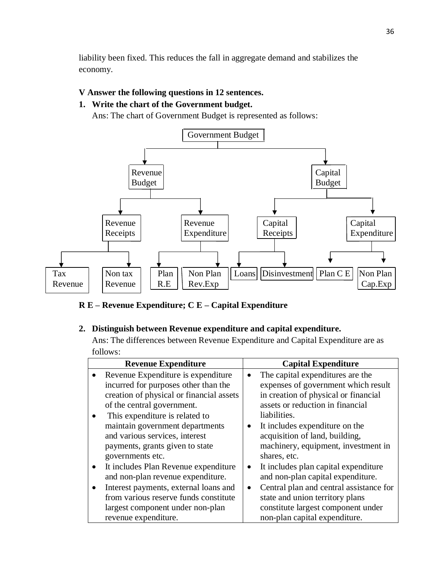liability been fixed. This reduces the fall in aggregate demand and stabilizes the economy.

### **V Answer the following questions in 12 sentences.**

# **1. Write the chart of the Government budget.**

Ans: The chart of Government Budget is represented as follows:



**R E – Revenue Expenditure; C E – Capital Expenditure**

# **2. Distinguish between Revenue expenditure and capital expenditure.**

Ans: The differences between Revenue Expenditure and Capital Expenditure are as follows:

|           | <b>Revenue Expenditure</b>               | <b>Capital Expenditure</b>              |
|-----------|------------------------------------------|-----------------------------------------|
|           | Revenue Expenditure is expenditure.      | The capital expenditures are the        |
|           | incurred for purposes other than the     | expenses of government which result     |
|           | creation of physical or financial assets | in creation of physical or financial    |
|           | of the central government.               | assets or reduction in financial        |
|           | This expenditure is related to           | liabilities.                            |
|           | maintain government departments          | It includes expenditure on the          |
|           | and various services, interest           | acquisition of land, building,          |
|           | payments, grants given to state          | machinery, equipment, investment in     |
|           | governments etc.                         | shares, etc.                            |
| $\bullet$ | It includes Plan Revenue expenditure     | It includes plan capital expenditure    |
|           | and non-plan revenue expenditure.        | and non-plan capital expenditure.       |
|           | Interest payments, external loans and    | Central plan and central assistance for |
|           | from various reserve funds constitute    | state and union territory plans         |
|           | largest component under non-plan         | constitute largest component under      |
|           | revenue expenditure.                     | non-plan capital expenditure.           |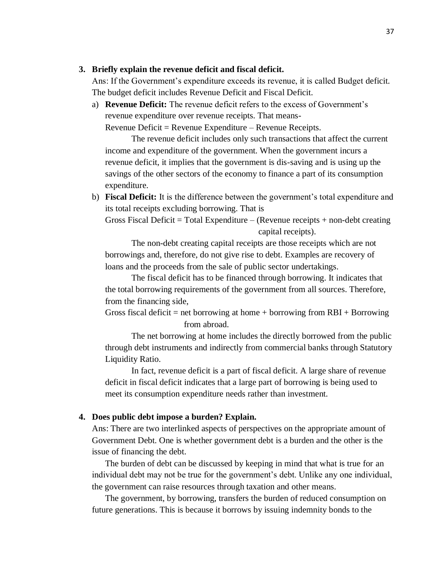#### **3. Briefly explain the revenue deficit and fiscal deficit.**

Ans: If the Government's expenditure exceeds its revenue, it is called Budget deficit. The budget deficit includes Revenue Deficit and Fiscal Deficit.

a) **Revenue Deficit:** The revenue deficit refers to the excess of Government's revenue expenditure over revenue receipts. That means-

Revenue Deficit = Revenue Expenditure – Revenue Receipts.

The revenue deficit includes only such transactions that affect the current income and expenditure of the government. When the government incurs a revenue deficit, it implies that the government is dis-saving and is using up the savings of the other sectors of the economy to finance a part of its consumption expenditure.

b) **Fiscal Deficit:** It is the difference between the government's total expenditure and its total receipts excluding borrowing. That is

Gross Fiscal Deficit = Total Expenditure  $-$  (Revenue receipts  $+$  non-debt creating capital receipts).

The non-debt creating capital receipts are those receipts which are not borrowings and, therefore, do not give rise to debt. Examples are recovery of loans and the proceeds from the sale of public sector undertakings.

The fiscal deficit has to be financed through borrowing. It indicates that the total borrowing requirements of the government from all sources. Therefore, from the financing side,

Gross fiscal deficit = net borrowing at home + borrowing from  $RBI + B$ orrowing from abroad.

The net borrowing at home includes the directly borrowed from the public through debt instruments and indirectly from commercial banks through Statutory Liquidity Ratio.

In fact, revenue deficit is a part of fiscal deficit. A large share of revenue deficit in fiscal deficit indicates that a large part of borrowing is being used to meet its consumption expenditure needs rather than investment.

#### **4. Does public debt impose a burden? Explain.**

Ans: There are two interlinked aspects of perspectives on the appropriate amount of Government Debt. One is whether government debt is a burden and the other is the issue of financing the debt.

The burden of debt can be discussed by keeping in mind that what is true for an individual debt may not be true for the government's debt. Unlike any one individual, the government can raise resources through taxation and other means.

The government, by borrowing, transfers the burden of reduced consumption on future generations. This is because it borrows by issuing indemnity bonds to the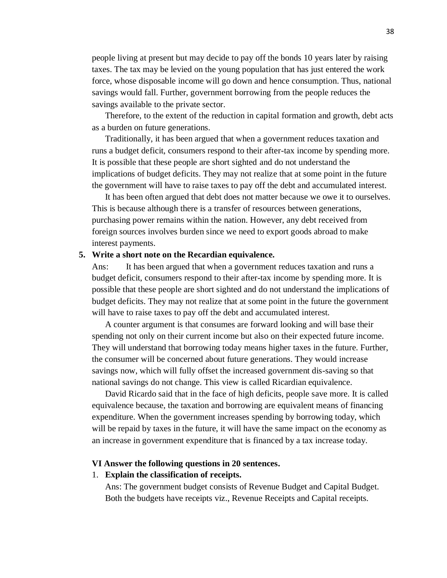people living at present but may decide to pay off the bonds 10 years later by raising taxes. The tax may be levied on the young population that has just entered the work force, whose disposable income will go down and hence consumption. Thus, national savings would fall. Further, government borrowing from the people reduces the savings available to the private sector.

Therefore, to the extent of the reduction in capital formation and growth, debt acts as a burden on future generations.

Traditionally, it has been argued that when a government reduces taxation and runs a budget deficit, consumers respond to their after-tax income by spending more. It is possible that these people are short sighted and do not understand the implications of budget deficits. They may not realize that at some point in the future the government will have to raise taxes to pay off the debt and accumulated interest.

It has been often argued that debt does not matter because we owe it to ourselves. This is because although there is a transfer of resources between generations, purchasing power remains within the nation. However, any debt received from foreign sources involves burden since we need to export goods abroad to make interest payments.

#### **5. Write a short note on the Recardian equivalence.**

Ans: It has been argued that when a government reduces taxation and runs a budget deficit, consumers respond to their after-tax income by spending more. It is possible that these people are short sighted and do not understand the implications of budget deficits. They may not realize that at some point in the future the government will have to raise taxes to pay off the debt and accumulated interest.

A counter argument is that consumes are forward looking and will base their spending not only on their current income but also on their expected future income. They will understand that borrowing today means higher taxes in the future. Further, the consumer will be concerned about future generations. They would increase savings now, which will fully offset the increased government dis-saving so that national savings do not change. This view is called Ricardian equivalence.

David Ricardo said that in the face of high deficits, people save more. It is called equivalence because, the taxation and borrowing are equivalent means of financing expenditure. When the government increases spending by borrowing today, which will be repaid by taxes in the future, it will have the same impact on the economy as an increase in government expenditure that is financed by a tax increase today.

#### **VI Answer the following questions in 20 sentences.**

#### 1. **Explain the classification of receipts.**

Ans: The government budget consists of Revenue Budget and Capital Budget. Both the budgets have receipts viz., Revenue Receipts and Capital receipts.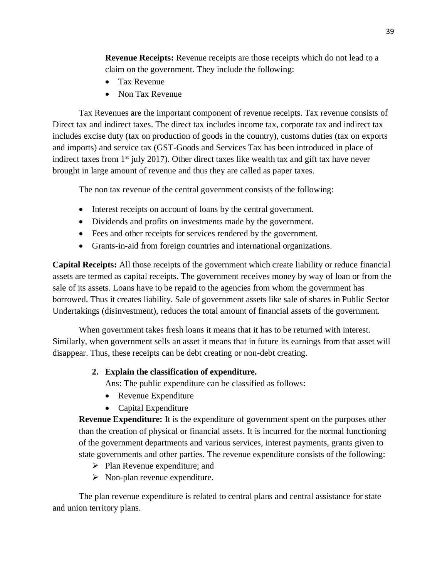**Revenue Receipts:** Revenue receipts are those receipts which do not lead to a claim on the government. They include the following:

- Tax Revenue
- Non Tax Revenue

Tax Revenues are the important component of revenue receipts. Tax revenue consists of Direct tax and indirect taxes. The direct tax includes income tax, corporate tax and indirect tax includes excise duty (tax on production of goods in the country), customs duties (tax on exports and imports) and service tax (GST-Goods and Services Tax has been introduced in place of indirect taxes from  $1<sup>st</sup>$  july 2017). Other direct taxes like wealth tax and gift tax have never brought in large amount of revenue and thus they are called as paper taxes.

The non tax revenue of the central government consists of the following:

- Interest receipts on account of loans by the central government.
- Dividends and profits on investments made by the government.
- Fees and other receipts for services rendered by the government.
- Grants-in-aid from foreign countries and international organizations.

**Capital Receipts:** All those receipts of the government which create liability or reduce financial assets are termed as capital receipts. The government receives money by way of loan or from the sale of its assets. Loans have to be repaid to the agencies from whom the government has borrowed. Thus it creates liability. Sale of government assets like sale of shares in Public Sector Undertakings (disinvestment), reduces the total amount of financial assets of the government.

When government takes fresh loans it means that it has to be returned with interest. Similarly, when government sells an asset it means that in future its earnings from that asset will disappear. Thus, these receipts can be debt creating or non-debt creating.

### **2. Explain the classification of expenditure.**

Ans: The public expenditure can be classified as follows:

- Revenue Expenditure
- Capital Expenditure

**Revenue Expenditure:** It is the expenditure of government spent on the purposes other than the creation of physical or financial assets. It is incurred for the normal functioning of the government departments and various services, interest payments, grants given to state governments and other parties. The revenue expenditure consists of the following:

- ➢ Plan Revenue expenditure; and
- ➢ Non-plan revenue expenditure.

The plan revenue expenditure is related to central plans and central assistance for state and union territory plans.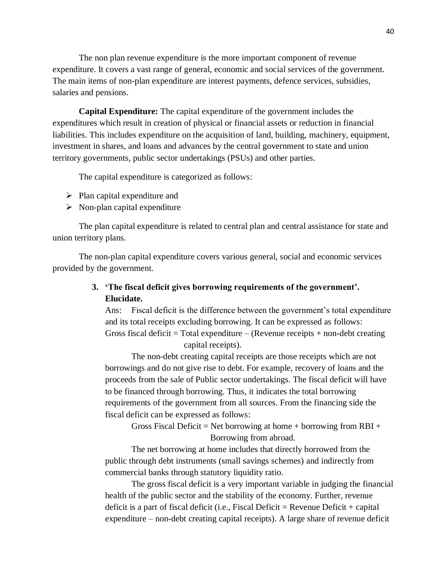The non plan revenue expenditure is the more important component of revenue expenditure. It covers a vast range of general, economic and social services of the government. The main items of non-plan expenditure are interest payments, defence services, subsidies, salaries and pensions.

**Capital Expenditure:** The capital expenditure of the government includes the expenditures which result in creation of physical or financial assets or reduction in financial liabilities. This includes expenditure on the acquisition of land, building, machinery, equipment, investment in shares, and loans and advances by the central government to state and union territory governments, public sector undertakings (PSUs) and other parties.

The capital expenditure is categorized as follows:

- $\triangleright$  Plan capital expenditure and
- $\triangleright$  Non-plan capital expenditure

The plan capital expenditure is related to central plan and central assistance for state and union territory plans.

The non-plan capital expenditure covers various general, social and economic services provided by the government.

> **3. 'The fiscal deficit gives borrowing requirements of the government'. Elucidate.**

Ans: Fiscal deficit is the difference between the government's total expenditure and its total receipts excluding borrowing. It can be expressed as follows: Gross fiscal deficit = Total expenditure  $-$  (Revenue receipts  $+$  non-debt creating capital receipts).

The non-debt creating capital receipts are those receipts which are not borrowings and do not give rise to debt. For example, recovery of loans and the proceeds from the sale of Public sector undertakings. The fiscal deficit will have to be financed through borrowing. Thus, it indicates the total borrowing requirements of the government from all sources. From the financing side the fiscal deficit can be expressed as follows:

Gross Fiscal Deficit = Net borrowing at home + borrowing from  $RBI +$ Borrowing from abroad.

The net borrowing at home includes that directly borrowed from the public through debt instruments (small savings schemes) and indirectly from commercial banks through statutory liquidity ratio.

The gross fiscal deficit is a very important variable in judging the financial health of the public sector and the stability of the economy. Further, revenue deficit is a part of fiscal deficit (i.e., Fiscal Deficit = Revenue Deficit + capital expenditure – non-debt creating capital receipts). A large share of revenue deficit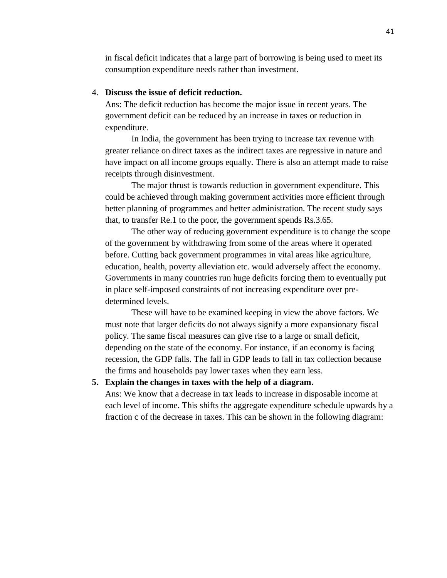in fiscal deficit indicates that a large part of borrowing is being used to meet its consumption expenditure needs rather than investment.

#### 4. **Discuss the issue of deficit reduction.**

Ans: The deficit reduction has become the major issue in recent years. The government deficit can be reduced by an increase in taxes or reduction in expenditure.

In India, the government has been trying to increase tax revenue with greater reliance on direct taxes as the indirect taxes are regressive in nature and have impact on all income groups equally. There is also an attempt made to raise receipts through disinvestment.

The major thrust is towards reduction in government expenditure. This could be achieved through making government activities more efficient through better planning of programmes and better administration. The recent study says that, to transfer Re.1 to the poor, the government spends Rs.3.65.

The other way of reducing government expenditure is to change the scope of the government by withdrawing from some of the areas where it operated before. Cutting back government programmes in vital areas like agriculture, education, health, poverty alleviation etc. would adversely affect the economy. Governments in many countries run huge deficits forcing them to eventually put in place self-imposed constraints of not increasing expenditure over predetermined levels.

These will have to be examined keeping in view the above factors. We must note that larger deficits do not always signify a more expansionary fiscal policy. The same fiscal measures can give rise to a large or small deficit, depending on the state of the economy. For instance, if an economy is facing recession, the GDP falls. The fall in GDP leads to fall in tax collection because the firms and households pay lower taxes when they earn less.

#### **5. Explain the changes in taxes with the help of a diagram.**

Ans: We know that a decrease in tax leads to increase in disposable income at each level of income. This shifts the aggregate expenditure schedule upwards by a fraction c of the decrease in taxes. This can be shown in the following diagram: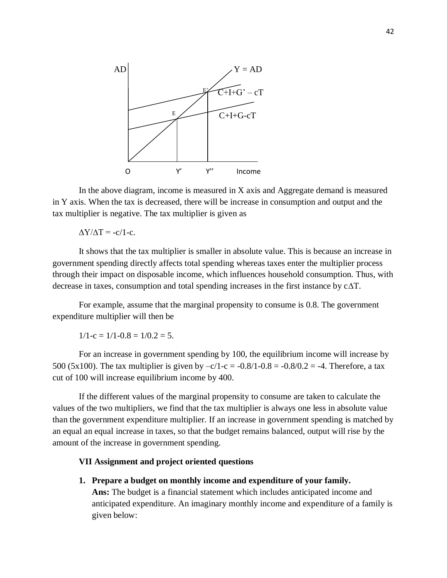

In the above diagram, income is measured in X axis and Aggregate demand is measured in Y axis. When the tax is decreased, there will be increase in consumption and output and the tax multiplier is negative. The tax multiplier is given as

 $\Delta Y/\Delta T = -c/1-c$ .

It shows that the tax multiplier is smaller in absolute value. This is because an increase in government spending directly affects total spending whereas taxes enter the multiplier process through their impact on disposable income, which influences household consumption. Thus, with decrease in taxes, consumption and total spending increases in the first instance by c∆T.

For example, assume that the marginal propensity to consume is 0.8. The government expenditure multiplier will then be

 $1/1-c = 1/1-0.8 = 1/0.2 = 5.$ 

For an increase in government spending by 100, the equilibrium income will increase by 500 (5x100). The tax multiplier is given by  $-c/1-c = -0.8/1-0.8 = -0.8/0.2 = -4$ . Therefore, a tax cut of 100 will increase equilibrium income by 400.

If the different values of the marginal propensity to consume are taken to calculate the values of the two multipliers, we find that the tax multiplier is always one less in absolute value than the government expenditure multiplier. If an increase in government spending is matched by an equal an equal increase in taxes, so that the budget remains balanced, output will rise by the amount of the increase in government spending.

#### **VII Assignment and project oriented questions**

**1. Prepare a budget on monthly income and expenditure of your family. Ans:** The budget is a financial statement which includes anticipated income and anticipated expenditure. An imaginary monthly income and expenditure of a family is given below: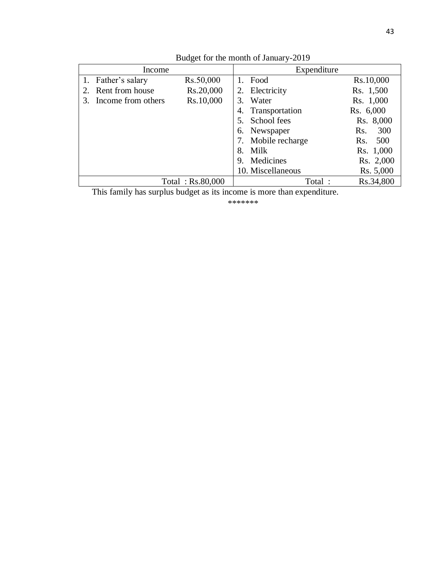| Income             |                  | Expenditure        |            |
|--------------------|------------------|--------------------|------------|
| 1. Father's salary | Rs.50,000        | Food<br>$1_{-}$    | Rs.10,000  |
| Rent from house    | Rs.20,000        | 2. Electricity     | Rs. 1,500  |
| Income from others | Rs.10,000        | 3. Water           | Rs. 1,000  |
|                    |                  | 4. Transportation  | Rs. 6,000  |
|                    |                  | School fees<br>5.  | Rs. 8,000  |
|                    |                  | 6. Newspaper       | 300<br>Rs. |
|                    |                  | 7. Mobile recharge | 500<br>Rs. |
|                    |                  | 8. Milk            | Rs. 1,000  |
|                    |                  | 9. Medicines       | Rs. 2,000  |
|                    |                  | 10. Miscellaneous  | Rs. 5,000  |
|                    | Total: Rs.80,000 | Total:             | Rs.34,800  |

Budget for the month of January-2019

This family has surplus budget as its income is more than expenditure.

\*\*\*\*\*\*\*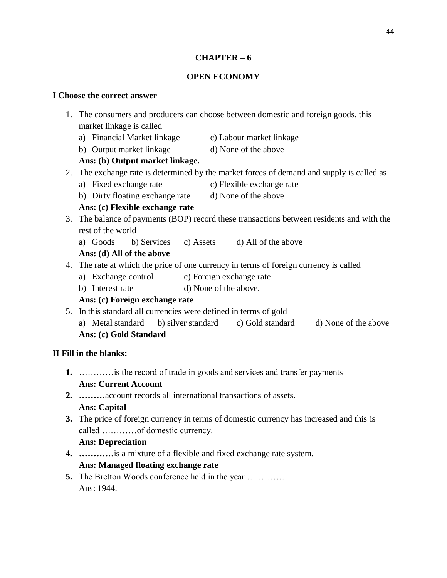### **CHAPTER – 6**

### **OPEN ECONOMY**

#### **I Choose the correct answer**

- 1. The consumers and producers can choose between domestic and foreign goods, this market linkage is called
	- a) Financial Market linkage c) Labour market linkage
	- b) Output market linkage d) None of the above

# **Ans: (b) Output market linkage.**

- 2. The exchange rate is determined by the market forces of demand and supply is called as
	- a) Fixed exchange rate c) Flexible exchange rate
	- b) Dirty floating exchange rate d) None of the above

# **Ans: (c) Flexible exchange rate**

- 3. The balance of payments (BOP) record these transactions between residents and with the rest of the world
	- a) Goods b) Services c) Assets d) All of the above

# **Ans: (d) All of the above**

- 4. The rate at which the price of one currency in terms of foreign currency is called
	- a) Exchange control c) Foreign exchange rate
	- b) Interest rate d) None of the above.

# **Ans: (c) Foreign exchange rate**

5. In this standard all currencies were defined in terms of gold a) Metal standard b) silver standard c) Gold standard d) None of the above **Ans: (c) Gold Standard**

# **II Fill in the blanks:**

- **1.** …………is the record of trade in goods and services and transfer payments **Ans: Current Account**
- **2. ………**account records all international transactions of assets. **Ans: Capital**
- **3.** The price of foreign currency in terms of domestic currency has increased and this is called …………of domestic currency.

### **Ans: Depreciation**

- **4. …………**is a mixture of a flexible and fixed exchange rate system. **Ans: Managed floating exchange rate**
- **5.** The Bretton Woods conference held in the year …………. Ans: 1944.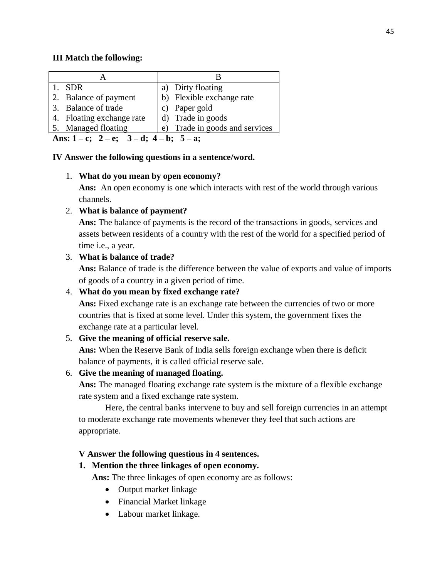### **III Match the following:**

| -SDR                                                   | a) Dirty floating              |  |
|--------------------------------------------------------|--------------------------------|--|
| 2. Balance of payment                                  | b) Flexible exchange rate      |  |
| 3. Balance of trade                                    | c) Paper gold                  |  |
| 4. Floating exchange rate                              | d) Trade in goods              |  |
| 5. Managed floating                                    | e) Trade in goods and services |  |
| Ans: $1 - c$ ; $2 - e$ ; $3 - d$ ; $4 - b$ ; $5 - a$ ; |                                |  |

#### **IV Answer the following questions in a sentence/word.**

### 1. **What do you mean by open economy?**

**Ans:** An open economy is one which interacts with rest of the world through various channels.

### 2. **What is balance of payment?**

**Ans:** The balance of payments is the record of the transactions in goods, services and assets between residents of a country with the rest of the world for a specified period of time i.e., a year.

### 3. **What is balance of trade?**

**Ans:** Balance of trade is the difference between the value of exports and value of imports of goods of a country in a given period of time.

### 4. **What do you mean by fixed exchange rate?**

Ans: Fixed exchange rate is an exchange rate between the currencies of two or more countries that is fixed at some level. Under this system, the government fixes the exchange rate at a particular level.

### 5. **Give the meaning of official reserve sale.**

**Ans:** When the Reserve Bank of India sells foreign exchange when there is deficit balance of payments, it is called official reserve sale.

### 6. **Give the meaning of managed floating.**

**Ans:** The managed floating exchange rate system is the mixture of a flexible exchange rate system and a fixed exchange rate system.

Here, the central banks intervene to buy and sell foreign currencies in an attempt to moderate exchange rate movements whenever they feel that such actions are appropriate.

### **V Answer the following questions in 4 sentences.**

### **1. Mention the three linkages of open economy.**

**Ans:** The three linkages of open economy are as follows:

- Output market linkage
- Financial Market linkage
- Labour market linkage.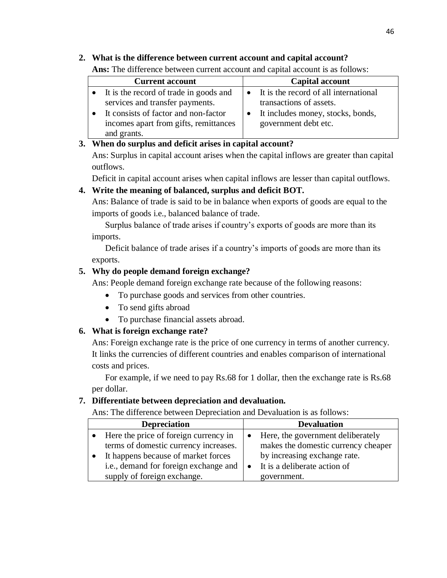# **2. What is the difference between current account and capital account?**

**Ans:** The difference between current account and capital account is as follows:

| <b>Current account</b> |                                                                                              | <b>Capital account</b>                                                     |  |
|------------------------|----------------------------------------------------------------------------------------------|----------------------------------------------------------------------------|--|
|                        | • It is the record of trade in goods and<br>services and transfer payments.                  | $\bullet$ It is the record of all international<br>transactions of assets. |  |
|                        | It consists of factor and non-factor<br>incomes apart from gifts, remittances<br>and grants. | It includes money, stocks, bonds,<br>government debt etc.                  |  |

# **3. When do surplus and deficit arises in capital account?**

Ans: Surplus in capital account arises when the capital inflows are greater than capital outflows.

Deficit in capital account arises when capital inflows are lesser than capital outflows.

# **4. Write the meaning of balanced, surplus and deficit BOT.**

Ans: Balance of trade is said to be in balance when exports of goods are equal to the imports of goods i.e., balanced balance of trade.

Surplus balance of trade arises if country's exports of goods are more than its imports.

Deficit balance of trade arises if a country's imports of goods are more than its exports.

# **5. Why do people demand foreign exchange?**

Ans: People demand foreign exchange rate because of the following reasons:

- To purchase goods and services from other countries.
- To send gifts abroad
- To purchase financial assets abroad.

# **6. What is foreign exchange rate?**

Ans: Foreign exchange rate is the price of one currency in terms of another currency. It links the currencies of different countries and enables comparison of international costs and prices.

For example, if we need to pay Rs.68 for 1 dollar, then the exchange rate is Rs.68 per dollar.

# **7. Differentiate between depreciation and devaluation.**

Ans: The difference between Depreciation and Devaluation is as follows:

| <b>Depreciation</b>                                         |           | <b>Devaluation</b>                  |
|-------------------------------------------------------------|-----------|-------------------------------------|
| Here the price of foreign currency in                       | $\bullet$ | Here, the government deliberately   |
| terms of domestic currency increases.                       |           | makes the domestic currency cheaper |
| It happens because of market forces                         |           | by increasing exchange rate.        |
| i.e., demand for foreign exchange and $\vert \bullet \vert$ |           | It is a deliberate action of        |
| supply of foreign exchange.                                 |           | government.                         |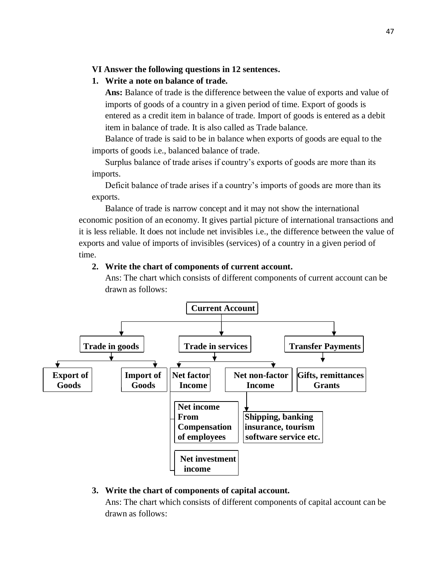#### **VI Answer the following questions in 12 sentences.**

### **1. Write a note on balance of trade.**

**Ans:** Balance of trade is the difference between the value of exports and value of imports of goods of a country in a given period of time. Export of goods is entered as a credit item in balance of trade. Import of goods is entered as a debit item in balance of trade. It is also called as Trade balance.

Balance of trade is said to be in balance when exports of goods are equal to the imports of goods i.e., balanced balance of trade.

Surplus balance of trade arises if country's exports of goods are more than its imports.

Deficit balance of trade arises if a country's imports of goods are more than its exports.

Balance of trade is narrow concept and it may not show the international economic position of an economy. It gives partial picture of international transactions and it is less reliable. It does not include net invisibles i.e., the difference between the value of exports and value of imports of invisibles (services) of a country in a given period of time.

#### **2. Write the chart of components of current account.**

Ans: The chart which consists of different components of current account can be drawn as follows:



#### **3. Write the chart of components of capital account.**

Ans: The chart which consists of different components of capital account can be drawn as follows: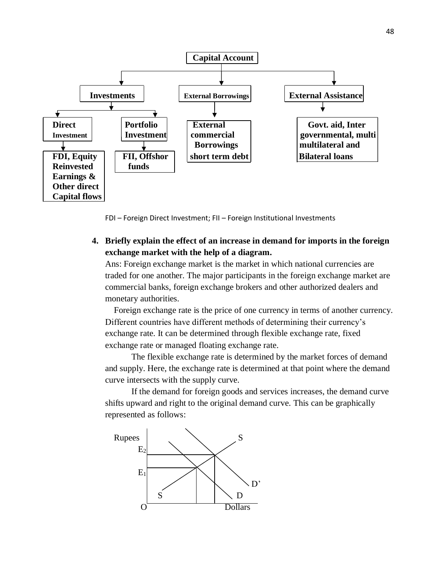

FDI – Foreign Direct Investment; FII – Foreign Institutional Investments

**4. Briefly explain the effect of an increase in demand for imports in the foreign exchange market with the help of a diagram.**

Ans: Foreign exchange market is the market in which national currencies are traded for one another. The major participants in the foreign exchange market are commercial banks, foreign exchange brokers and other authorized dealers and monetary authorities.

 Foreign exchange rate is the price of one currency in terms of another currency. Different countries have different methods of determining their currency's exchange rate. It can be determined through flexible exchange rate, fixed exchange rate or managed floating exchange rate.

The flexible exchange rate is determined by the market forces of demand and supply. Here, the exchange rate is determined at that point where the demand curve intersects with the supply curve.

If the demand for foreign goods and services increases, the demand curve shifts upward and right to the original demand curve. This can be graphically represented as follows:

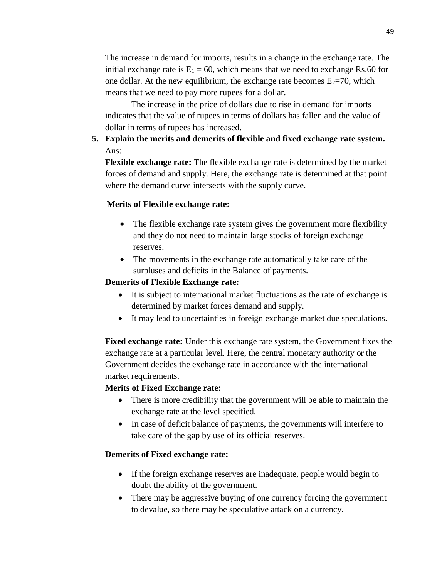The increase in demand for imports, results in a change in the exchange rate. The initial exchange rate is  $E_1 = 60$ , which means that we need to exchange Rs.60 for one dollar. At the new equilibrium, the exchange rate becomes  $E_2=70$ , which means that we need to pay more rupees for a dollar.

The increase in the price of dollars due to rise in demand for imports indicates that the value of rupees in terms of dollars has fallen and the value of dollar in terms of rupees has increased.

**5. Explain the merits and demerits of flexible and fixed exchange rate system.** Ans:

**Flexible exchange rate:** The flexible exchange rate is determined by the market forces of demand and supply. Here, the exchange rate is determined at that point where the demand curve intersects with the supply curve.

#### **Merits of Flexible exchange rate:**

- The flexible exchange rate system gives the government more flexibility and they do not need to maintain large stocks of foreign exchange reserves.
- The movements in the exchange rate automatically take care of the surpluses and deficits in the Balance of payments.

#### **Demerits of Flexible Exchange rate:**

- It is subject to international market fluctuations as the rate of exchange is determined by market forces demand and supply.
- It may lead to uncertainties in foreign exchange market due speculations.

**Fixed exchange rate:** Under this exchange rate system, the Government fixes the exchange rate at a particular level. Here, the central monetary authority or the Government decides the exchange rate in accordance with the international market requirements.

#### **Merits of Fixed Exchange rate:**

- There is more credibility that the government will be able to maintain the exchange rate at the level specified.
- In case of deficit balance of payments, the governments will interfere to take care of the gap by use of its official reserves.

#### **Demerits of Fixed exchange rate:**

- If the foreign exchange reserves are inadequate, people would begin to doubt the ability of the government.
- There may be aggressive buying of one currency forcing the government to devalue, so there may be speculative attack on a currency.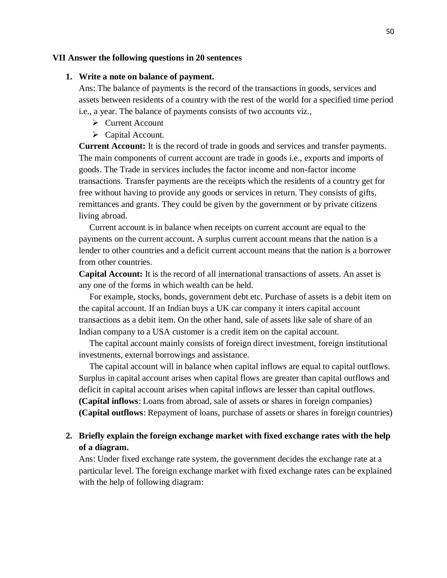#### **VII Answer the following questions in 20 sentences**

#### **1. Write a note on balance of payment.**

Ans: The balance of payments is the record of the transactions in goods, services and assets between residents of a country with the rest of the world for a specified time period i.e., a year. The balance of payments consists of two accounts viz.,

- ➢ Current Account
- ➢ Capital Account.

**Current Account:** It is the record of trade in goods and services and transfer payments. The main components of current account are trade in goods i.e., exports and imports of goods. The Trade in services includes the factor income and non-factor income transactions. Transfer payments are the receipts which the residents of a country get for free without having to provide any goods or services in return. They consists of gifts, remittances and grants. They could be given by the government or by private citizens living abroad.

Current account is in balance when receipts on current account are equal to the payments on the current account. A surplus current account means that the nation is a lender to other countries and a deficit current account means that the nation is a borrower from other countries.

**Capital Account:** It is the record of all international transactions of assets. An asset is any one of the forms in which wealth can be held.

For example, stocks, bonds, government debt etc. Purchase of assets is a debit item on the capital account. If an Indian buys a UK car company it inters capital account transactions as a debit item. On the other hand, sale of assets like sale of share of an Indian company to a USA customer is a credit item on the capital account.

The capital account mainly consists of foreign direct investment, foreign institutional investments, external borrowings and assistance.

The capital account will in balance when capital inflows are equal to capital outflows. Surplus in capital account arises when capital flows are greater than capital outflows and deficit in capital account arises when capital inflows are lesser than capital outflows. **(Capital inflows**: Loans from abroad, sale of assets or shares in foreign companies) **(Capital outflows**: Repayment of loans, purchase of assets or shares in foreign countries)

### **2. Briefly explain the foreign exchange market with fixed exchange rates with the help of a diagram.**

Ans: Under fixed exchange rate system, the government decides the exchange rate at a particular level. The foreign exchange market with fixed exchange rates can be explained with the help of following diagram: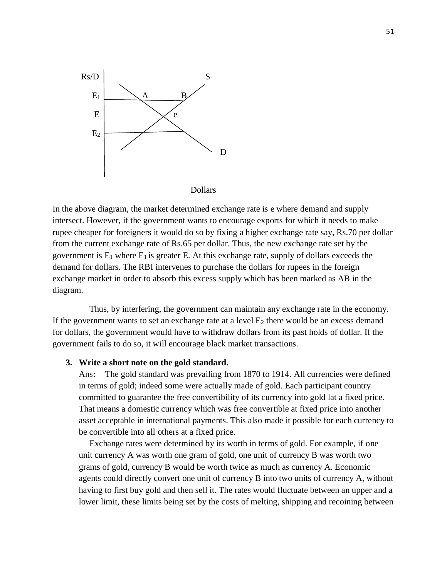

In the above diagram, the market determined exchange rate is e where demand and supply intersect. However, if the government wants to encourage exports for which it needs to make rupee cheaper for foreigners it would do so by fixing a higher exchange rate say, Rs.70 per dollar from the current exchange rate of Rs.65 per dollar. Thus, the new exchange rate set by the government is  $E_1$  where  $E_1$  is greater E. At this exchange rate, supply of dollars exceeds the demand for dollars. The RBI intervenes to purchase the dollars for rupees in the foreign exchange market in order to absorb this excess supply which has been marked as AB in the diagram.

Thus, by interfering, the government can maintain any exchange rate in the economy. If the government wants to set an exchange rate at a level  $E_2$  there would be an excess demand for dollars, the government would have to withdraw dollars from its past holds of dollar. If the government fails to do so, it will encourage black market transactions.

#### **3. Write a short note on the gold standard.**

Ans: The gold standard was prevailing from 1870 to 1914. All currencies were defined in terms of gold; indeed some were actually made of gold. Each participant country committed to guarantee the free convertibility of its currency into gold lat a fixed price. That means a domestic currency which was free convertible at fixed price into another asset acceptable in international payments. This also made it possible for each currency to be convertible into all others at a fixed price.

Exchange rates were determined by its worth in terms of gold. For example, if one unit currency A was worth one gram of gold, one unit of currency B was worth two grams of gold, currency B would be worth twice as much as currency A. Economic agents could directly convert one unit of currency B into two units of currency A, without having to first buy gold and then sell it. The rates would fluctuate between an upper and a lower limit, these limits being set by the costs of melting, shipping and recoining between